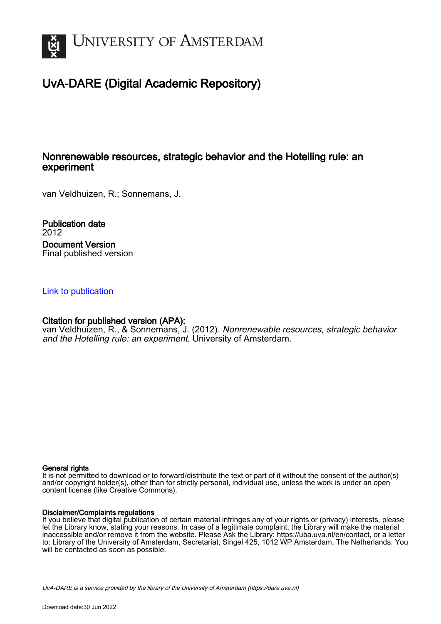

# UvA-DARE (Digital Academic Repository)

# Nonrenewable resources, strategic behavior and the Hotelling rule: an experiment

van Veldhuizen, R.; Sonnemans, J.

Publication date 2012 Document Version Final published version

### [Link to publication](https://dare.uva.nl/personal/pure/en/publications/nonrenewable-resources-strategic-behavior-and-the-hotelling-rule-an-experiment(5153cebc-0ca7-45fd-a841-9131c2ed8cc9).html)

### Citation for published version (APA):

van Veldhuizen, R., & Sonnemans, J. (2012). Nonrenewable resources, strategic behavior and the Hotelling rule: an experiment. University of Amsterdam.

#### General rights

It is not permitted to download or to forward/distribute the text or part of it without the consent of the author(s) and/or copyright holder(s), other than for strictly personal, individual use, unless the work is under an open content license (like Creative Commons).

#### Disclaimer/Complaints regulations

If you believe that digital publication of certain material infringes any of your rights or (privacy) interests, please let the Library know, stating your reasons. In case of a legitimate complaint, the Library will make the material inaccessible and/or remove it from the website. Please Ask the Library: https://uba.uva.nl/en/contact, or a letter to: Library of the University of Amsterdam, Secretariat, Singel 425, 1012 WP Amsterdam, The Netherlands. You will be contacted as soon as possible.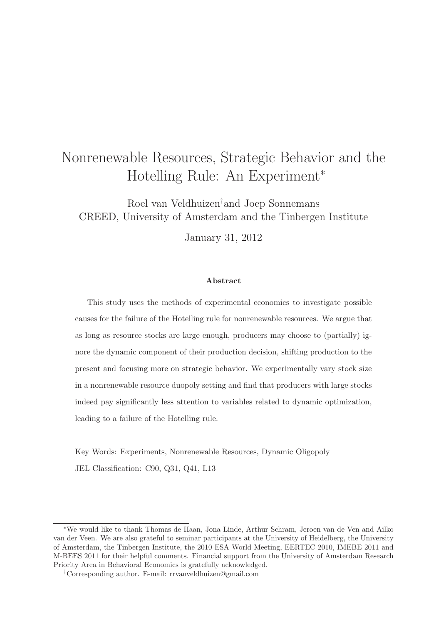# Nonrenewable Resources, Strategic Behavior and the Hotelling Rule: An Experiment<sup>∗</sup>

Roel van Veldhuizen†and Joep Sonnemans CREED, University of Amsterdam and the Tinbergen Institute

January 31, 2012

#### Abstract

This study uses the methods of experimental economics to investigate possible causes for the failure of the Hotelling rule for nonrenewable resources. We argue that as long as resource stocks are large enough, producers may choose to (partially) ignore the dynamic component of their production decision, shifting production to the present and focusing more on strategic behavior. We experimentally vary stock size in a nonrenewable resource duopoly setting and find that producers with large stocks indeed pay significantly less attention to variables related to dynamic optimization, leading to a failure of the Hotelling rule.

Key Words: Experiments, Nonrenewable Resources, Dynamic Oligopoly JEL Classification: C90, Q31, Q41, L13

<sup>∗</sup>We would like to thank Thomas de Haan, Jona Linde, Arthur Schram, Jeroen van de Ven and Ailko van der Veen. We are also grateful to seminar participants at the University of Heidelberg, the University of Amsterdam, the Tinbergen Institute, the 2010 ESA World Meeting, EERTEC 2010, IMEBE 2011 and M-BEES 2011 for their helpful comments. Financial support from the University of Amsterdam Research Priority Area in Behavioral Economics is gratefully acknowledged.

<sup>†</sup>Corresponding author. E-mail: rrvanveldhuizen@gmail.com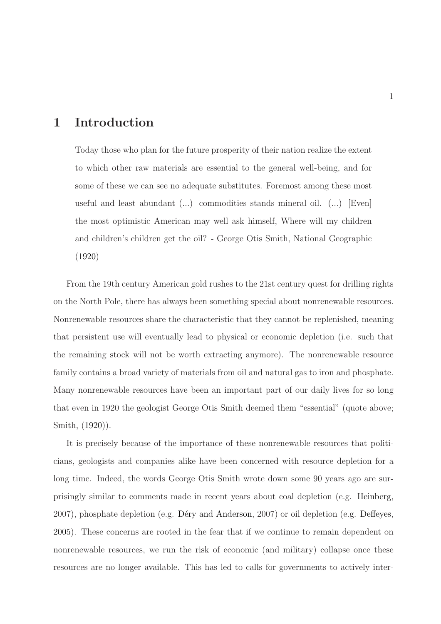# 1 Introduction

Today those who plan for the future prosperity of their nation realize the extent to which other raw materials are essential to the general well-being, and for some of these we can see no adequate substitutes. Foremost among these most useful and least abundant (...) commodities stands mineral oil. (...) [Even] the most optimistic American may well ask himself, Where will my children and children's children get the oil? - George Otis Smith, National Geographic [\(1920](#page-49-0))

From the 19th century American gold rushes to the 21st century quest for drilling rights on the North Pole, there has always been something special about nonrenewable resources. Nonrenewable resources share the characteristic that they cannot be replenished, meaning that persistent use will eventually lead to physical or economic depletion (i.e. such that the remaining stock will not be worth extracting anymore). The nonrenewable resource family contains a broad variety of materials from oil and natural gas to iron and phosphate. Many nonrenewable resources have been an important part of our daily lives for so long that even in 1920 the geologist George Otis Smith deemed them "essential" (quote above; Smith, [\(1920\)](#page-49-0)).

It is precisely because of the importance of these nonrenewable resources that politicians, geologists and companies alike have been concerned with resource depletion for a long time. Indeed, the words George Otis Smith wrote down some 90 years ago are surprisingly similar to comments made in recent years about coal depletion (e.g. [Heinberg,](#page-47-0) 2007), phosphate depletion (e.g. Déry and Anderson, 2007) or oil depletion (e.g. [Deffeyes,](#page-45-1) [2005](#page-45-1)). These concerns are rooted in the fear that if we continue to remain dependent on nonrenewable resources, we run the risk of economic (and military) collapse once these resources are no longer available. This has led to calls for governments to actively inter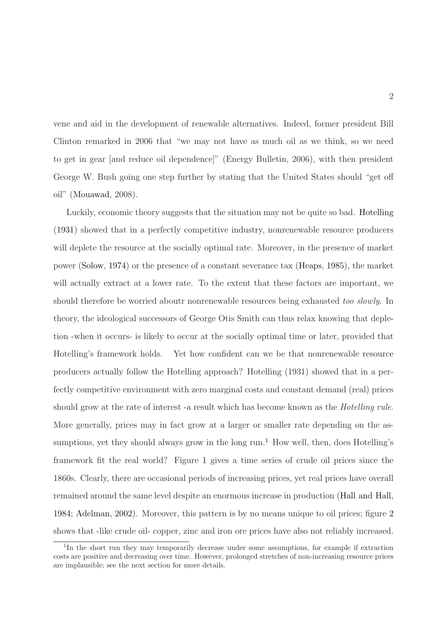vene and aid in the development of renewable alternatives. Indeed, former president Bill Clinton remarked in 2006 that "we may not have as much oil as we think, so we need to get in gear [and reduce oil dependence]" (Energy Bulletin, 2006), with then president George W. Bush going one step further by stating that the United States should "get off oil" [\(Mouawad,](#page-48-0) 2008).

Luckily, economic theory suggests that the situation may not be quite so bad. [Hotelling](#page-47-1) [\(1931\)](#page-47-1) showed that in a perfectly competitive industry, nonrenewable resource producers will deplete the resource at the socially optimal rate. Moreover, in the presence of market power [\(Solow,](#page-49-1) [1974\)](#page-49-1) or the presence of a constant severance tax [\(Heaps](#page-47-2), [1985](#page-47-2)), the market will actually extract at a lower rate. To the extent that these factors are important, we should therefore be worried aboutr nonrenewable resources being exhausted too slowly. In theory, the ideological successors of George Otis Smith can thus relax knowing that depletion -when it occurs- is likely to occur at the socially optimal time or later, provided that Hotelling's framework holds. Yet how confident can we be that nonrenewable resource producers actually follow the Hotelling approach? Hotelling (1931) showed that in a perfectly competitive environment with zero marginal costs and constant demand (real) prices should grow at the rate of interest -a result which has become known as the Hotelling rule. More generally, prices may in fact grow at a larger or smaller rate depending on the assumptions, yet they should always grow in the long run.<sup>1</sup> How well, then, does Hotelling's framework fit the real world? Figure [1](#page-4-0) gives a time series of crude oil prices since the 1860s. Clearly, there are occasional periods of increasing prices, yet real prices have overall remained around the same level despite an enormous increase in production [\(Hall and Hall,](#page-46-0) [1984](#page-46-0); [Adelman](#page-44-0), [2002](#page-44-0)). Moreover, this pattern is by no means unique to oil prices; figure [2](#page-4-1) shows that -like crude oil- copper, zinc and iron ore prices have also not reliably increased.

<sup>&</sup>lt;sup>1</sup>In the short run they may temporarily decrease under some assumptions, for example if extraction costs are positive and decreasing over time. However, prolonged stretches of non-increasing resource prices are implausible; see the next section for more details.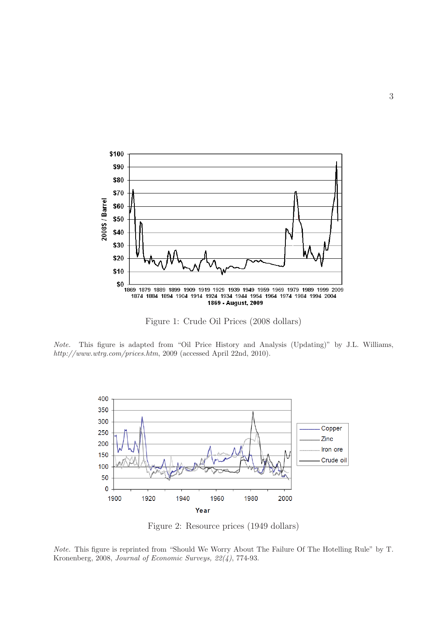

<span id="page-4-0"></span>Figure 1: Crude Oil Prices (2008 dollars)

Note. This figure is adapted from "Oil Price History and Analysis (Updating)" by J.L. Williams, http://www.wtrg.com/prices.htm, 2009 (accessed April 22nd, 2010).



<span id="page-4-1"></span>Figure 2: Resource prices (1949 dollars)

Note. This figure is reprinted from "Should We Worry About The Failure Of The Hotelling Rule" by T. Kronenberg, 2008, Journal of Economic Surveys, 22(4), 774-93.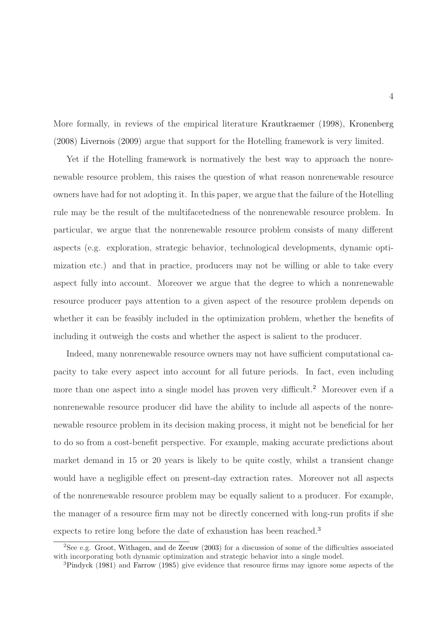More formally, in reviews of the empirical literature [Krautkraemer](#page-47-3) [\(1998\)](#page-47-3), [Kronenberg](#page-47-4) [\(2008\)](#page-47-4) [Livernois](#page-47-5) [\(2009\)](#page-47-5) argue that support for the Hotelling framework is very limited.

Yet if the Hotelling framework is normatively the best way to approach the nonrenewable resource problem, this raises the question of what reason nonrenewable resource owners have had for not adopting it. In this paper, we argue that the failure of the Hotelling rule may be the result of the multifacetedness of the nonrenewable resource problem. In particular, we argue that the nonrenewable resource problem consists of many different aspects (e.g. exploration, strategic behavior, technological developments, dynamic optimization etc.) and that in practice, producers may not be willing or able to take every aspect fully into account. Moreover we argue that the degree to which a nonrenewable resource producer pays attention to a given aspect of the resource problem depends on whether it can be feasibly included in the optimization problem, whether the benefits of including it outweigh the costs and whether the aspect is salient to the producer.

Indeed, many nonrenewable resource owners may not have sufficient computational capacity to take every aspect into account for all future periods. In fact, even including more than one aspect into a single model has proven very difficult.<sup>2</sup> Moreover even if a nonrenewable resource producer did have the ability to include all aspects of the nonrenewable resource problem in its decision making process, it might not be beneficial for her to do so from a cost-benefit perspective. For example, making accurate predictions about market demand in 15 or 20 years is likely to be quite costly, whilst a transient change would have a negligible effect on present-day extraction rates. Moreover not all aspects of the nonrenewable resource problem may be equally salient to a producer. For example, the manager of a resource firm may not be directly concerned with long-run profits if she expects to retire long before the date of exhaustion has been reached.<sup>3</sup>

<sup>2</sup>See e.g. [Groot, Withagen, and de Zeeuw](#page-46-1) [\(2003](#page-46-1)) for a discussion of some of the difficulties associated with incorporating both dynamic optimization and strategic behavior into a single model.

<sup>3</sup>[Pindyck](#page-48-1) [\(1981\)](#page-48-1) and [Farrow](#page-45-2) [\(1985\)](#page-45-2) give evidence that resource firms may ignore some aspects of the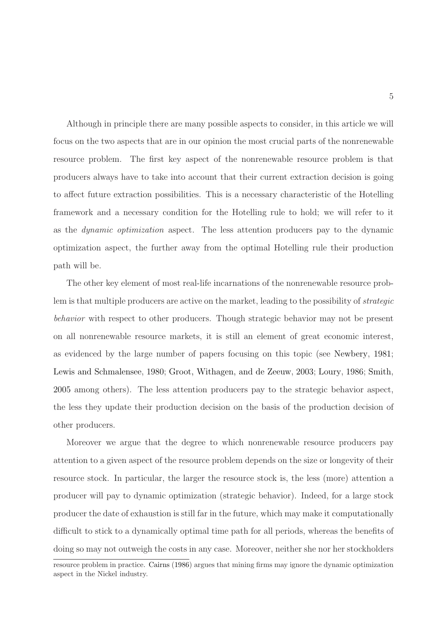Although in principle there are many possible aspects to consider, in this article we will focus on the two aspects that are in our opinion the most crucial parts of the nonrenewable resource problem. The first key aspect of the nonrenewable resource problem is that producers always have to take into account that their current extraction decision is going to affect future extraction possibilities. This is a necessary characteristic of the Hotelling framework and a necessary condition for the Hotelling rule to hold; we will refer to it as the dynamic optimization aspect. The less attention producers pay to the dynamic optimization aspect, the further away from the optimal Hotelling rule their production path will be.

The other key element of most real-life incarnations of the nonrenewable resource problem is that multiple producers are active on the market, leading to the possibility of strategic behavior with respect to other producers. Though strategic behavior may not be present on all nonrenewable resource markets, it is still an element of great economic interest, as evidenced by the large number of papers focusing on this topic (see [Newbery](#page-48-2), [1981;](#page-48-2) [Lewis and Schmalensee,](#page-47-6) [1980](#page-47-6); [Groot, Withagen, and de Zeeuw,](#page-46-1) [2003](#page-46-1); [Loury](#page-48-3), [1986](#page-48-3); [Smith,](#page-49-2) [2005](#page-49-2) among others). The less attention producers pay to the strategic behavior aspect, the less they update their production decision on the basis of the production decision of other producers.

Moreover we argue that the degree to which nonrenewable resource producers pay attention to a given aspect of the resource problem depends on the size or longevity of their resource stock. In particular, the larger the resource stock is, the less (more) attention a producer will pay to dynamic optimization (strategic behavior). Indeed, for a large stock producer the date of exhaustion is still far in the future, which may make it computationally difficult to stick to a dynamically optimal time path for all periods, whereas the benefits of doing so may not outweigh the costs in any case. Moreover, neither she nor her stockholders

resource problem in practice. [Cairns](#page-44-1) [\(1986](#page-44-1)) argues that mining firms may ignore the dynamic optimization aspect in the Nickel industry.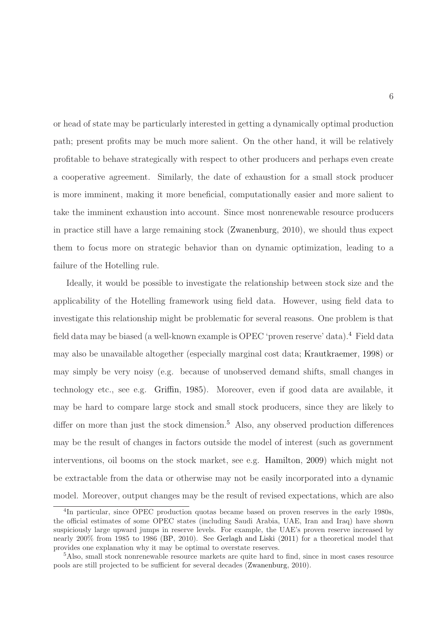or head of state may be particularly interested in getting a dynamically optimal production path; present profits may be much more salient. On the other hand, it will be relatively profitable to behave strategically with respect to other producers and perhaps even create a cooperative agreement. Similarly, the date of exhaustion for a small stock producer is more imminent, making it more beneficial, computationally easier and more salient to take the imminent exhaustion into account. Since most nonrenewable resource producers in practice still have a large remaining stock [\(Zwanenburg](#page-49-3), 2010), we should thus expect them to focus more on strategic behavior than on dynamic optimization, leading to a failure of the Hotelling rule.

Ideally, it would be possible to investigate the relationship between stock size and the applicability of the Hotelling framework using field data. However, using field data to investigate this relationship might be problematic for several reasons. One problem is that field data may be biased (a well-known example is OPEC 'proven reserve' data).<sup>4</sup> Field data may also be unavailable altogether (especially marginal cost data; [Krautkraemer](#page-47-3), [1998](#page-47-3)) or may simply be very noisy (e.g. because of unobserved demand shifts, small changes in technology etc., see e.g. [Griffin,](#page-46-2) [1985\)](#page-46-2). Moreover, even if good data are available, it may be hard to compare large stock and small stock producers, since they are likely to differ on more than just the stock dimension.<sup>5</sup> Also, any observed production differences may be the result of changes in factors outside the model of interest (such as government interventions, oil booms on the stock market, see e.g. [Hamilton](#page-46-3), [2009\)](#page-46-3) which might not be extractable from the data or otherwise may not be easily incorporated into a dynamic model. Moreover, output changes may be the result of revised expectations, which are also

<sup>&</sup>lt;sup>4</sup>In particular, since OPEC production quotas became based on proven reserves in the early 1980s, the official estimates of some OPEC states (including Saudi Arabia, UAE, Iran and Iraq) have shown suspiciously large upward jumps in reserve levels. For example, the UAE's proven reserve increased by nearly 200% from 1985 to 1986 [\(BP,](#page-44-2) 2010). See [Gerlagh and Liski](#page-46-4) [\(2011\)](#page-46-4) for a theoretical model that provides one explanation why it may be optimal to overstate reserves.

<sup>5</sup>Also, small stock nonrenewable resource markets are quite hard to find, since in most cases resource pools are still projected to be sufficient for several decades [\(Zwanenburg](#page-49-3), 2010).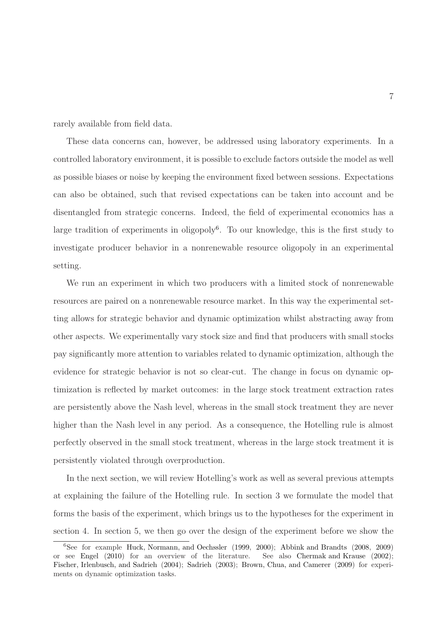rarely available from field data.

These data concerns can, however, be addressed using laboratory experiments. In a controlled laboratory environment, it is possible to exclude factors outside the model as well as possible biases or noise by keeping the environment fixed between sessions. Expectations can also be obtained, such that revised expectations can be taken into account and be disentangled from strategic concerns. Indeed, the field of experimental economics has a large tradition of experiments in oligopoly<sup>6</sup>. To our knowledge, this is the first study to investigate producer behavior in a nonrenewable resource oligopoly in an experimental setting.

We run an experiment in which two producers with a limited stock of nonrenewable resources are paired on a nonrenewable resource market. In this way the experimental setting allows for strategic behavior and dynamic optimization whilst abstracting away from other aspects. We experimentally vary stock size and find that producers with small stocks pay significantly more attention to variables related to dynamic optimization, although the evidence for strategic behavior is not so clear-cut. The change in focus on dynamic optimization is reflected by market outcomes: in the large stock treatment extraction rates are persistently above the Nash level, whereas in the small stock treatment they are never higher than the Nash level in any period. As a consequence, the Hotelling rule is almost perfectly observed in the small stock treatment, whereas in the large stock treatment it is persistently violated through overproduction.

In the next section, we will review Hotelling's work as well as several previous attempts at explaining the failure of the Hotelling rule. In section 3 we formulate the model that forms the basis of the experiment, which brings us to the hypotheses for the experiment in section 4. In section 5, we then go over the design of the experiment before we show the

<sup>6</sup>See for example [Huck, Normann, and Oechssler](#page-47-7) [\(1999](#page-47-7), [2000](#page-47-8)); [Abbink and Brandts](#page-43-0) [\(2008](#page-43-0), [2009](#page-43-1)) or see [Engel](#page-45-3) [\(2010](#page-45-3)) for an overview of the literature. See also [Chermak and Krause](#page-44-3) [\(2002](#page-44-3)); [Fischer, Irlenbusch, and Sadrieh](#page-46-5) [\(2004\)](#page-46-5); [Sadrieh](#page-48-4) [\(2003](#page-48-4)); [Brown, Chua, and Camerer](#page-44-4) [\(2009](#page-44-4)) for experiments on dynamic optimization tasks.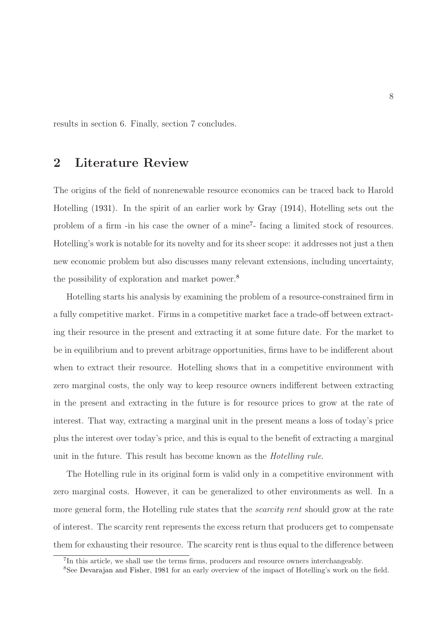results in section 6. Finally, section 7 concludes.

# 2 Literature Review

The origins of the field of nonrenewable resource economics can be traced back to Harold Hotelling [\(1931](#page-47-1)). In the spirit of an earlier work by [Gray](#page-46-6) [\(1914\)](#page-46-6), Hotelling sets out the problem of a firm -in his case the owner of a mine<sup>7</sup>- facing a limited stock of resources. Hotelling's work is notable for its novelty and for its sheer scope: it addresses not just a then new economic problem but also discusses many relevant extensions, including uncertainty, the possibility of exploration and market power.<sup>8</sup>

Hotelling starts his analysis by examining the problem of a resource-constrained firm in a fully competitive market. Firms in a competitive market face a trade-off between extracting their resource in the present and extracting it at some future date. For the market to be in equilibrium and to prevent arbitrage opportunities, firms have to be indifferent about when to extract their resource. Hotelling shows that in a competitive environment with zero marginal costs, the only way to keep resource owners indifferent between extracting in the present and extracting in the future is for resource prices to grow at the rate of interest. That way, extracting a marginal unit in the present means a loss of today's price plus the interest over today's price, and this is equal to the benefit of extracting a marginal unit in the future. This result has become known as the Hotelling rule.

The Hotelling rule in its original form is valid only in a competitive environment with zero marginal costs. However, it can be generalized to other environments as well. In a more general form, the Hotelling rule states that the *scarcity rent* should grow at the rate of interest. The scarcity rent represents the excess return that producers get to compensate them for exhausting their resource. The scarcity rent is thus equal to the difference between

<sup>&</sup>lt;sup>7</sup>In this article, we shall use the terms firms, producers and resource owners interchangeably.

<sup>8</sup>See [Devarajan and Fisher](#page-45-4), [1981](#page-45-4) for an early overview of the impact of Hotelling's work on the field.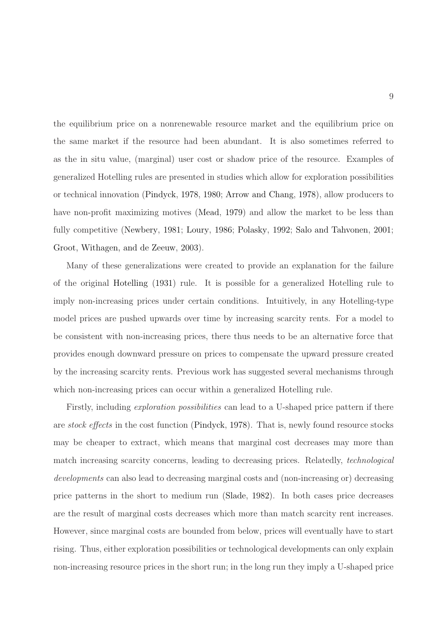the equilibrium price on a nonrenewable resource market and the equilibrium price on the same market if the resource had been abundant. It is also sometimes referred to as the in situ value, (marginal) user cost or shadow price of the resource. Examples of generalized Hotelling rules are presented in studies which allow for exploration possibilities or technical innovation [\(Pindyck](#page-48-5), [1978](#page-48-5), [1980;](#page-48-6) [Arrow and Chang](#page-44-5), [1978](#page-44-5)), allow producers to have non-profit maximizing motives [\(Mead,](#page-48-7) [1979](#page-48-7)) and allow the market to be less than fully competitive [\(Newbery,](#page-48-2) [1981;](#page-48-2) [Loury](#page-48-3), [1986](#page-48-3); [Polasky](#page-48-8), [1992](#page-48-8); [Salo and Tahvonen,](#page-49-4) [2001;](#page-49-4) [Groot, Withagen, and de Zeeuw,](#page-46-1) [2003](#page-46-1)).

Many of these generalizations were created to provide an explanation for the failure of the original [Hotelling](#page-47-1) [\(1931](#page-47-1)) rule. It is possible for a generalized Hotelling rule to imply non-increasing prices under certain conditions. Intuitively, in any Hotelling-type model prices are pushed upwards over time by increasing scarcity rents. For a model to be consistent with non-increasing prices, there thus needs to be an alternative force that provides enough downward pressure on prices to compensate the upward pressure created by the increasing scarcity rents. Previous work has suggested several mechanisms through which non-increasing prices can occur within a generalized Hotelling rule.

Firstly, including *exploration possibilities* can lead to a U-shaped price pattern if there are stock effects in the cost function [\(Pindyck](#page-48-5), [1978](#page-48-5)). That is, newly found resource stocks may be cheaper to extract, which means that marginal cost decreases may more than match increasing scarcity concerns, leading to decreasing prices. Relatedly, *technological* developments can also lead to decreasing marginal costs and (non-increasing or) decreasing price patterns in the short to medium run [\(Slade,](#page-49-5) [1982](#page-49-5)). In both cases price decreases are the result of marginal costs decreases which more than match scarcity rent increases. However, since marginal costs are bounded from below, prices will eventually have to start rising. Thus, either exploration possibilities or technological developments can only explain non-increasing resource prices in the short run; in the long run they imply a U-shaped price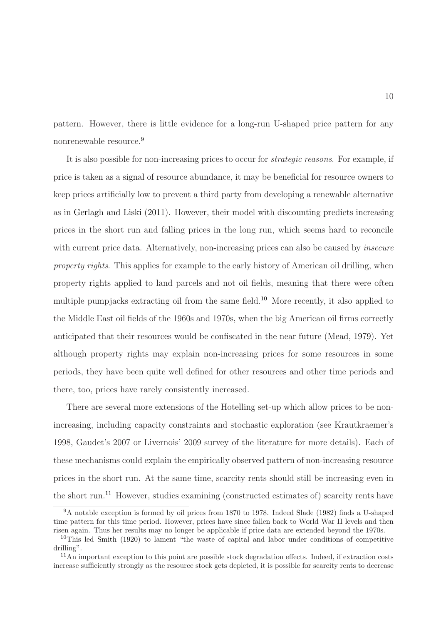pattern. However, there is little evidence for a long-run U-shaped price pattern for any nonrenewable resource.<sup>9</sup>

It is also possible for non-increasing prices to occur for strategic reasons. For example, if price is taken as a signal of resource abundance, it may be beneficial for resource owners to keep prices artificially low to prevent a third party from developing a renewable alternative as in [Gerlagh and Liski](#page-46-4) [\(2011\)](#page-46-4). However, their model with discounting predicts increasing prices in the short run and falling prices in the long run, which seems hard to reconcile with current price data. Alternatively, non-increasing prices can also be caused by *insecure* property rights. This applies for example to the early history of American oil drilling, when property rights applied to land parcels and not oil fields, meaning that there were often multiple pumpjacks extracting oil from the same field.<sup>10</sup> More recently, it also applied to the Middle East oil fields of the 1960s and 1970s, when the big American oil firms correctly anticipated that their resources would be confiscated in the near future [\(Mead](#page-48-7), [1979\)](#page-48-7). Yet although property rights may explain non-increasing prices for some resources in some periods, they have been quite well defined for other resources and other time periods and there, too, prices have rarely consistently increased.

There are several more extensions of the Hotelling set-up which allow prices to be nonincreasing, including capacity constraints and stochastic exploration (see Krautkraemer's 1998, Gaudet's 2007 or Livernois' 2009 survey of the literature for more details). Each of these mechanisms could explain the empirically observed pattern of non-increasing resource prices in the short run. At the same time, scarcity rents should still be increasing even in the short run.<sup>11</sup> However, studies examining (constructed estimates of) scarcity rents have

<sup>9</sup>A notable exception is formed by oil prices from 1870 to 1978. Indeed [Slade](#page-49-5) [\(1982](#page-49-5)) finds a U-shaped time pattern for this time period. However, prices have since fallen back to World War II levels and then risen again. Thus her results may no longer be applicable if price data are extended beyond the 1970s.

<sup>&</sup>lt;sup>10</sup>This led [Smith](#page-49-0) [\(1920\)](#page-49-0) to lament "the waste of capital and labor under conditions of competitive drilling".

<sup>11</sup>An important exception to this point are possible stock degradation effects. Indeed, if extraction costs increase sufficiently strongly as the resource stock gets depleted, it is possible for scarcity rents to decrease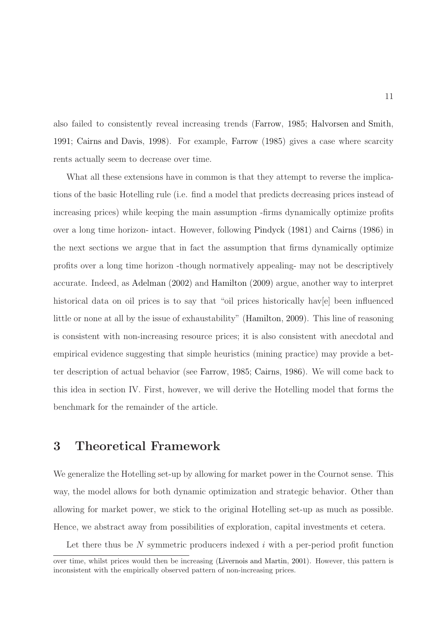also failed to consistently reveal increasing trends [\(Farrow,](#page-45-2) [1985](#page-45-2); [Halvorsen and Smith,](#page-46-7) [1991](#page-46-7); [Cairns and Davis](#page-44-6), [1998\)](#page-44-6). For example, [Farrow](#page-45-2) [\(1985](#page-45-2)) gives a case where scarcity rents actually seem to decrease over time.

What all these extensions have in common is that they attempt to reverse the implications of the basic Hotelling rule (i.e. find a model that predicts decreasing prices instead of increasing prices) while keeping the main assumption -firms dynamically optimize profits over a long time horizon- intact. However, following [Pindyck](#page-48-1) [\(1981](#page-48-1)) and [Cairns](#page-44-1) [\(1986\)](#page-44-1) in the next sections we argue that in fact the assumption that firms dynamically optimize profits over a long time horizon -though normatively appealing- may not be descriptively accurate. Indeed, as [Adelman](#page-44-0) [\(2002](#page-44-0)) and [Hamilton](#page-46-3) [\(2009](#page-46-3)) argue, another way to interpret historical data on oil prices is to say that "oil prices historically have element influenced little or none at all by the issue of exhaustability" [\(Hamilton](#page-46-3), [2009](#page-46-3)). This line of reasoning is consistent with non-increasing resource prices; it is also consistent with anecdotal and empirical evidence suggesting that simple heuristics (mining practice) may provide a better description of actual behavior (see [Farrow,](#page-45-2) [1985](#page-45-2); [Cairns,](#page-44-1) [1986\)](#page-44-1). We will come back to this idea in section IV. First, however, we will derive the Hotelling model that forms the benchmark for the remainder of the article.

# 3 Theoretical Framework

We generalize the Hotelling set-up by allowing for market power in the Cournot sense. This way, the model allows for both dynamic optimization and strategic behavior. Other than allowing for market power, we stick to the original Hotelling set-up as much as possible. Hence, we abstract away from possibilities of exploration, capital investments et cetera.

Let there thus be  $N$  symmetric producers indexed  $i$  with a per-period profit function

over time, whilst prices would then be increasing [\(Livernois and Martin](#page-47-9), [2001](#page-47-9)). However, this pattern is inconsistent with the empirically observed pattern of non-increasing prices.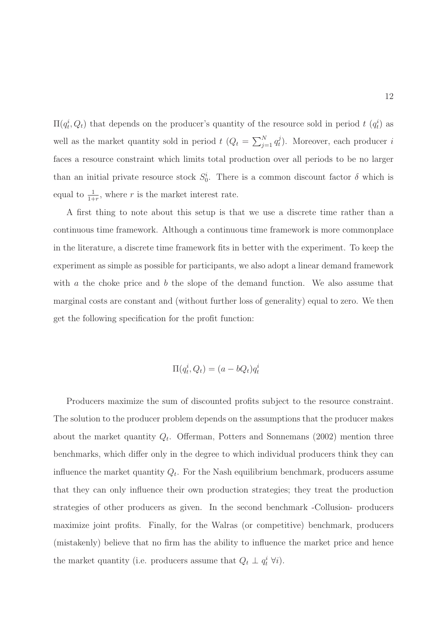$\Pi(q_t^i, Q_t)$  that depends on the producer's quantity of the resource sold in period  $t(q_t^i)$  as well as the market quantity sold in period  $t (Q_t = \sum_{j=1}^N q_t^j)$  $t<sub>t</sub>$ ). Moreover, each producer i faces a resource constraint which limits total production over all periods to be no larger than an initial private resource stock  $S_0^i$ . There is a common discount factor  $\delta$  which is equal to  $\frac{1}{1+r}$ , where r is the market interest rate.

A first thing to note about this setup is that we use a discrete time rather than a continuous time framework. Although a continuous time framework is more commonplace in the literature, a discrete time framework fits in better with the experiment. To keep the experiment as simple as possible for participants, we also adopt a linear demand framework with  $\alpha$  the choke price and  $\delta$  the slope of the demand function. We also assume that marginal costs are constant and (without further loss of generality) equal to zero. We then get the following specification for the profit function:

$$
\Pi(q_t^i, Q_t) = (a - bQ_t)q_t^i
$$

Producers maximize the sum of discounted profits subject to the resource constraint. The solution to the producer problem depends on the assumptions that the producer makes about the market quantity  $Q_t$ . Offerman, Potters and Sonnemans (2002) mention three benchmarks, which differ only in the degree to which individual producers think they can influence the market quantity  $Q_t$ . For the Nash equilibrium benchmark, producers assume that they can only influence their own production strategies; they treat the production strategies of other producers as given. In the second benchmark -Collusion- producers maximize joint profits. Finally, for the Walras (or competitive) benchmark, producers (mistakenly) believe that no firm has the ability to influence the market price and hence the market quantity (i.e. producers assume that  $Q_t \perp q_t^i \,\forall i$ ).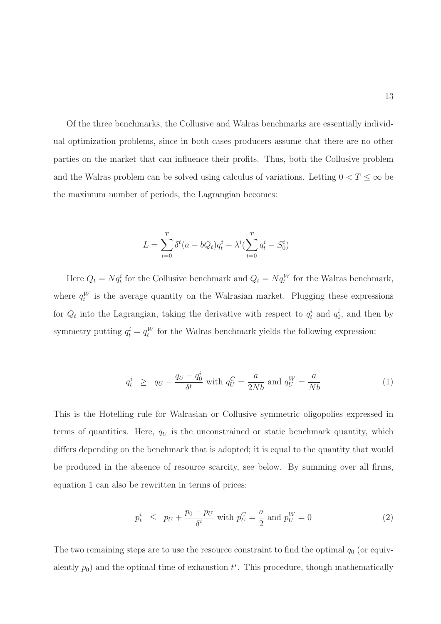Of the three benchmarks, the Collusive and Walras benchmarks are essentially individual optimization problems, since in both cases producers assume that there are no other parties on the market that can influence their profits. Thus, both the Collusive problem and the Walras problem can be solved using calculus of variations. Letting  $0 < T \leq \infty$  be the maximum number of periods, the Lagrangian becomes:

$$
L = \sum_{t=0}^{T} \delta^t (a - bQ_t) q_t^i - \lambda^i (\sum_{t=0}^{T} q_t^i - S_0^i)
$$

Here  $Q_t = Nq_t^i$  for the Collusive benchmark and  $Q_t = Nq_t^W$  for the Walras benchmark, where  $q_t^W$  is the average quantity on the Walrasian market. Plugging these expressions for  $Q_t$  into the Lagrangian, taking the derivative with respect to  $q_t^i$  and  $q_0^i$ , and then by symmetry putting  $q_t^i = q_t^W$  for the Walras benchmark yields the following expression:

<span id="page-14-0"></span>
$$
q_t^i \ge q_U - \frac{q_U - q_0^i}{\delta^t} \text{ with } q_U^C = \frac{a}{2Nb} \text{ and } q_U^W = \frac{a}{Nb} \tag{1}
$$

This is the Hotelling rule for Walrasian or Collusive symmetric oligopolies expressed in terms of quantities. Here,  $q_U$  is the unconstrained or static benchmark quantity, which differs depending on the benchmark that is adopted; it is equal to the quantity that would be produced in the absence of resource scarcity, see below. By summing over all firms, equation [1](#page-14-0) can also be rewritten in terms of prices:

<span id="page-14-1"></span>
$$
p_t^i \leq p_U + \frac{p_0 - p_U}{\delta^t} \text{ with } p_U^C = \frac{a}{2} \text{ and } p_U^W = 0 \tag{2}
$$

The two remaining steps are to use the resource constraint to find the optimal  $q_0$  (or equivalently  $p_0$ ) and the optimal time of exhaustion  $t^*$ . This procedure, though mathematically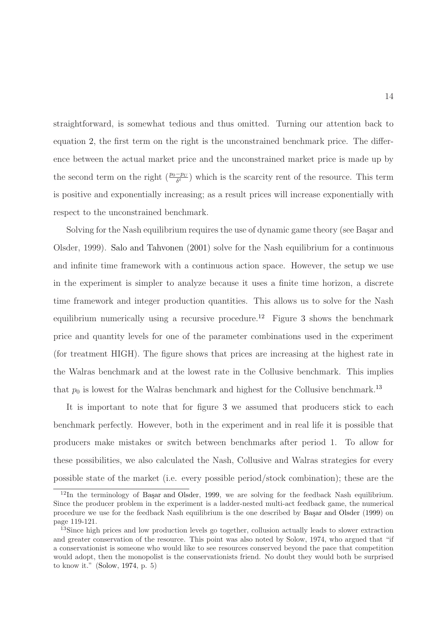straightforward, is somewhat tedious and thus omitted. Turning our attention back to equation [2,](#page-14-1) the first term on the right is the unconstrained benchmark price. The difference between the actual market price and the unconstrained market price is made up by the second term on the right  $\left(\frac{p_0-p_U}{\delta^t}\right)$  which is the scarcity rent of the resource. This term is positive and exponentially increasing; as a result prices will increase exponentially with respect to the unconstrained benchmark.

Solving for the Nash equilibrium requires the use of dynamic game theory (see Başar and Olsder, 1999). [Salo and Tahvonen](#page-49-4) [\(2001\)](#page-49-4) solve for the Nash equilibrium for a continuous and infinite time framework with a continuous action space. However, the setup we use in the experiment is simpler to analyze because it uses a finite time horizon, a discrete time framework and integer production quantities. This allows us to solve for the Nash equilibrium numerically using a recursive procedure.<sup>12</sup> Figure [3](#page-17-0) shows the benchmark price and quantity levels for one of the parameter combinations used in the experiment (for treatment HIGH). The figure shows that prices are increasing at the highest rate in the Walras benchmark and at the lowest rate in the Collusive benchmark. This implies that  $p_0$  is lowest for the Walras benchmark and highest for the Collusive benchmark.<sup>13</sup>

It is important to note that for figure [3](#page-17-0) we assumed that producers stick to each benchmark perfectly. However, both in the experiment and in real life it is possible that producers make mistakes or switch between benchmarks after period 1. To allow for these possibilities, we also calculated the Nash, Collusive and Walras strategies for every possible state of the market (i.e. every possible period/stock combination); these are the

 $12$ In the terminology of Başar and Olsder, [1999,](#page-44-7) we are solving for the feedback Nash equilibrium. Since the producer problem in the experiment is a ladder-nested multi-act feedback game, the numerical procedure we use for the feedback Nash equilibrium is the one described by Başar and Olsder [\(1999\)](#page-44-7) on page 119-121.

<sup>&</sup>lt;sup>13</sup>Since high prices and low production levels go together, collusion actually leads to slower extraction and greater conservation of the resource. This point was also noted by Solow, 1974, who argued that "if a conservationist is someone who would like to see resources conserved beyond the pace that competition would adopt, then the monopolist is the conservationists friend. No doubt they would both be surprised to know it." [\(Solow](#page-49-1), [1974](#page-49-1), p. 5)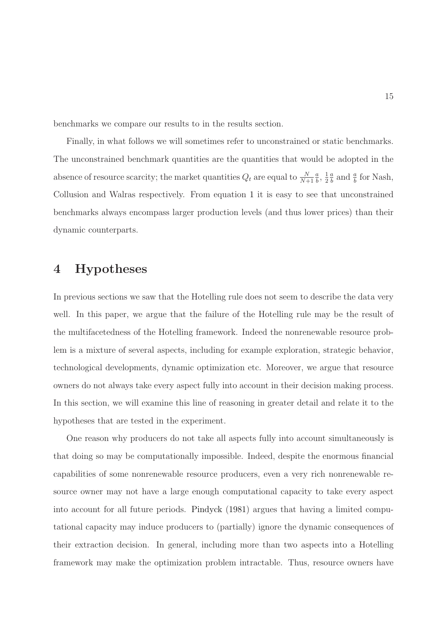benchmarks we compare our results to in the results section.

Finally, in what follows we will sometimes refer to unconstrained or static benchmarks. The unconstrained benchmark quantities are the quantities that would be adopted in the absence of resource scarcity; the market quantities  $Q_t$  are equal to  $\frac{N}{N+1}$ a  $\frac{a}{b}$ ,  $\frac{1}{2}$  $\overline{2}$ a  $\frac{a}{b}$  and  $\frac{a}{b}$  for Nash, Collusion and Walras respectively. From equation [1](#page-14-0) it is easy to see that unconstrained benchmarks always encompass larger production levels (and thus lower prices) than their dynamic counterparts.

# 4 Hypotheses

In previous sections we saw that the Hotelling rule does not seem to describe the data very well. In this paper, we argue that the failure of the Hotelling rule may be the result of the multifacetedness of the Hotelling framework. Indeed the nonrenewable resource problem is a mixture of several aspects, including for example exploration, strategic behavior, technological developments, dynamic optimization etc. Moreover, we argue that resource owners do not always take every aspect fully into account in their decision making process. In this section, we will examine this line of reasoning in greater detail and relate it to the hypotheses that are tested in the experiment.

One reason why producers do not take all aspects fully into account simultaneously is that doing so may be computationally impossible. Indeed, despite the enormous financial capabilities of some nonrenewable resource producers, even a very rich nonrenewable resource owner may not have a large enough computational capacity to take every aspect into account for all future periods. [Pindyck](#page-48-1) [\(1981](#page-48-1)) argues that having a limited computational capacity may induce producers to (partially) ignore the dynamic consequences of their extraction decision. In general, including more than two aspects into a Hotelling framework may make the optimization problem intractable. Thus, resource owners have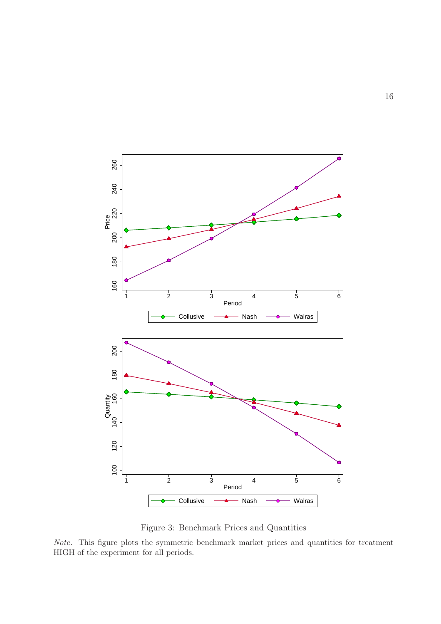

<span id="page-17-0"></span>Figure 3: Benchmark Prices and Quantities

Note. This figure plots the symmetric benchmark market prices and quantities for treatment HIGH of the experiment for all periods.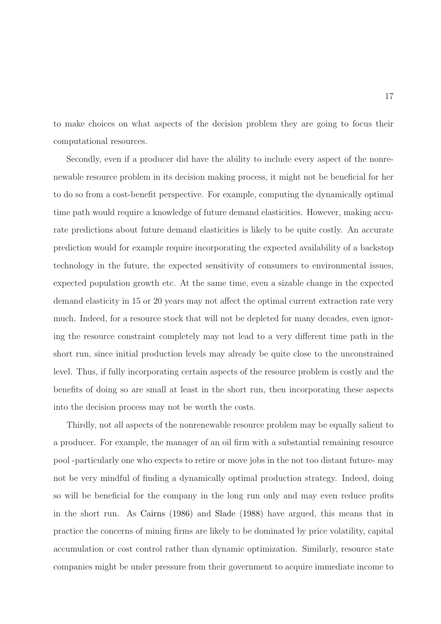to make choices on what aspects of the decision problem they are going to focus their computational resources.

Secondly, even if a producer did have the ability to include every aspect of the nonrenewable resource problem in its decision making process, it might not be beneficial for her to do so from a cost-benefit perspective. For example, computing the dynamically optimal time path would require a knowledge of future demand elasticities. However, making accurate predictions about future demand elasticities is likely to be quite costly. An accurate prediction would for example require incorporating the expected availability of a backstop technology in the future, the expected sensitivity of consumers to environmental issues, expected population growth etc. At the same time, even a sizable change in the expected demand elasticity in 15 or 20 years may not affect the optimal current extraction rate very much. Indeed, for a resource stock that will not be depleted for many decades, even ignoring the resource constraint completely may not lead to a very different time path in the short run, since initial production levels may already be quite close to the unconstrained level. Thus, if fully incorporating certain aspects of the resource problem is costly and the benefits of doing so are small at least in the short run, then incorporating these aspects into the decision process may not be worth the costs.

Thirdly, not all aspects of the nonrenewable resource problem may be equally salient to a producer. For example, the manager of an oil firm with a substantial remaining resource pool -particularly one who expects to retire or move jobs in the not too distant future- may not be very mindful of finding a dynamically optimal production strategy. Indeed, doing so will be beneficial for the company in the long run only and may even reduce profits in the short run. As [Cairns](#page-44-1) [\(1986](#page-44-1)) and [Slade](#page-49-6) [\(1988\)](#page-49-6) have argued, this means that in practice the concerns of mining firms are likely to be dominated by price volatility, capital accumulation or cost control rather than dynamic optimization. Similarly, resource state companies might be under pressure from their government to acquire immediate income to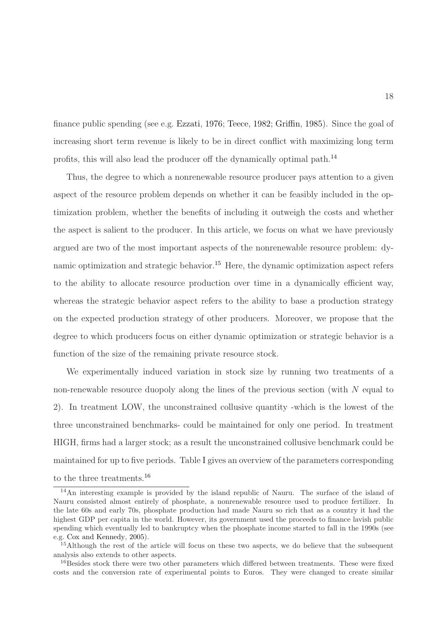finance public spending (see e.g. [Ezzati](#page-45-5), [1976](#page-45-5); [Teece](#page-49-7), [1982](#page-49-7); [Griffin,](#page-46-2) [1985\)](#page-46-2). Since the goal of increasing short term revenue is likely to be in direct conflict with maximizing long term profits, this will also lead the producer off the dynamically optimal path.<sup>14</sup>

Thus, the degree to which a nonrenewable resource producer pays attention to a given aspect of the resource problem depends on whether it can be feasibly included in the optimization problem, whether the benefits of including it outweigh the costs and whether the aspect is salient to the producer. In this article, we focus on what we have previously argued are two of the most important aspects of the nonrenewable resource problem: dynamic optimization and strategic behavior.<sup>15</sup> Here, the dynamic optimization aspect refers to the ability to allocate resource production over time in a dynamically efficient way, whereas the strategic behavior aspect refers to the ability to base a production strategy on the expected production strategy of other producers. Moreover, we propose that the degree to which producers focus on either dynamic optimization or strategic behavior is a function of the size of the remaining private resource stock.

We experimentally induced variation in stock size by running two treatments of a non-renewable resource duopoly along the lines of the previous section (with N equal to 2). In treatment LOW, the unconstrained collusive quantity -which is the lowest of the three unconstrained benchmarks- could be maintained for only one period. In treatment HIGH, firms had a larger stock; as a result the unconstrained collusive benchmark could be maintained for up to five periods. Table [I](#page-20-0) gives an overview of the parameters corresponding to the three treatments.<sup>16</sup>

<sup>14</sup>An interesting example is provided by the island republic of Nauru. The surface of the island of Nauru consisted almost entirely of phosphate, a nonrenewable resource used to produce fertilizer. In the late 60s and early 70s, phosphate production had made Nauru so rich that as a country it had the highest GDP per capita in the world. However, its government used the proceeds to finance lavish public spending which eventually led to bankruptcy when the phosphate income started to fall in the 1990s (see e.g. [Cox and Kennedy,](#page-45-6) [2005\)](#page-45-6).

<sup>15</sup>Although the rest of the article will focus on these two aspects, we do believe that the subsequent analysis also extends to other aspects.

<sup>&</sup>lt;sup>16</sup>Besides stock there were two other parameters which differed between treatments. These were fixed costs and the conversion rate of experimental points to Euros. They were changed to create similar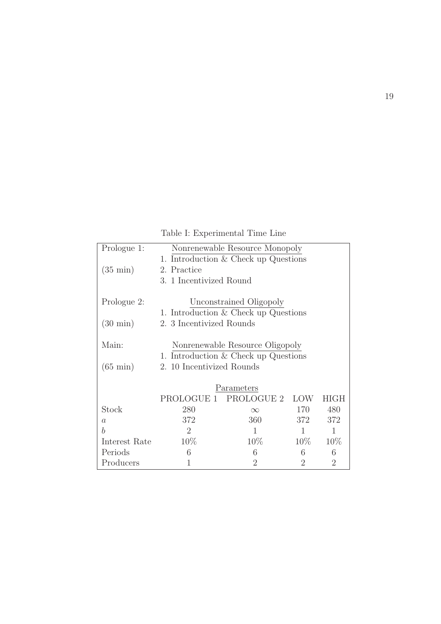<span id="page-20-0"></span>Table I: Experimental Time Line

| Prologue 1:        |                                        | Nonrenewable Resource Monopoly         |            |                |  |  |  |
|--------------------|----------------------------------------|----------------------------------------|------------|----------------|--|--|--|
|                    |                                        | 1. Introduction $& Check up Questions$ |            |                |  |  |  |
| $(35 \text{ min})$ | 2. Practice                            |                                        |            |                |  |  |  |
|                    | 3. 1 Incentivized Round                |                                        |            |                |  |  |  |
|                    |                                        |                                        |            |                |  |  |  |
| Prologue 2:        |                                        | Unconstrained Oligopoly                |            |                |  |  |  |
|                    |                                        | 1. Introduction $& Check up Questions$ |            |                |  |  |  |
| $(30 \text{ min})$ | 2. 3 Incentivized Rounds               |                                        |            |                |  |  |  |
|                    |                                        |                                        |            |                |  |  |  |
| Main:              |                                        | Nonrenewable Resource Oligopoly        |            |                |  |  |  |
|                    | 1. Introduction $& Check up Questions$ |                                        |            |                |  |  |  |
| $(65 \text{ min})$ | 2. 10 Incentivized Rounds              |                                        |            |                |  |  |  |
|                    |                                        |                                        |            |                |  |  |  |
|                    |                                        | Parameters                             |            |                |  |  |  |
|                    |                                        | PROLOGUE 1 PROLOGUE 2                  | <b>LOW</b> | <b>HIGH</b>    |  |  |  |
| Stock              | 280                                    | $\infty$                               | 170        | 480            |  |  |  |
| $\alpha$           | 372<br>360<br>372<br>372               |                                        |            |                |  |  |  |
| h                  | $\overline{2}$<br>1<br>1<br>1          |                                        |            |                |  |  |  |
| Interest Rate      | 10\%<br>$10\%$<br>$10\%$<br>10\%       |                                        |            |                |  |  |  |
| Periods            | 6                                      | 6                                      | 6          | 6              |  |  |  |
| Producers          | 1                                      | $\overline{2}$                         | 2          | $\overline{2}$ |  |  |  |
|                    |                                        |                                        |            |                |  |  |  |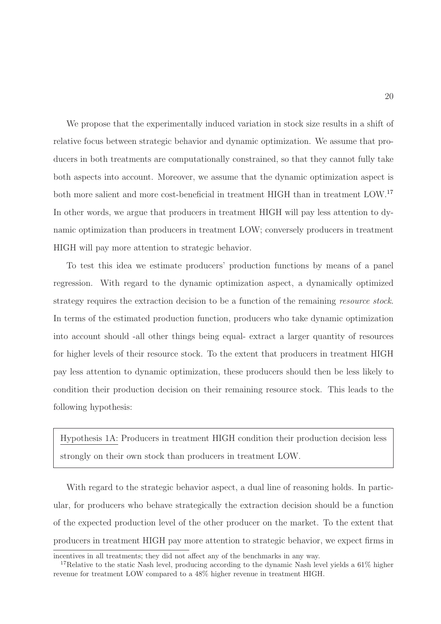We propose that the experimentally induced variation in stock size results in a shift of relative focus between strategic behavior and dynamic optimization. We assume that producers in both treatments are computationally constrained, so that they cannot fully take both aspects into account. Moreover, we assume that the dynamic optimization aspect is both more salient and more cost-beneficial in treatment HIGH than in treatment LOW.<sup>17</sup> In other words, we argue that producers in treatment HIGH will pay less attention to dynamic optimization than producers in treatment LOW; conversely producers in treatment HIGH will pay more attention to strategic behavior.

To test this idea we estimate producers' production functions by means of a panel regression. With regard to the dynamic optimization aspect, a dynamically optimized strategy requires the extraction decision to be a function of the remaining resource stock. In terms of the estimated production function, producers who take dynamic optimization into account should -all other things being equal- extract a larger quantity of resources for higher levels of their resource stock. To the extent that producers in treatment HIGH pay less attention to dynamic optimization, these producers should then be less likely to condition their production decision on their remaining resource stock. This leads to the following hypothesis:

Hypothesis 1A: Producers in treatment HIGH condition their production decision less strongly on their own stock than producers in treatment LOW.

With regard to the strategic behavior aspect, a dual line of reasoning holds. In particular, for producers who behave strategically the extraction decision should be a function of the expected production level of the other producer on the market. To the extent that producers in treatment HIGH pay more attention to strategic behavior, we expect firms in

incentives in all treatments; they did not affect any of the benchmarks in any way.

<sup>&</sup>lt;sup>17</sup>Relative to the static Nash level, producing according to the dynamic Nash level yields a 61% higher revenue for treatment LOW compared to a 48% higher revenue in treatment HIGH.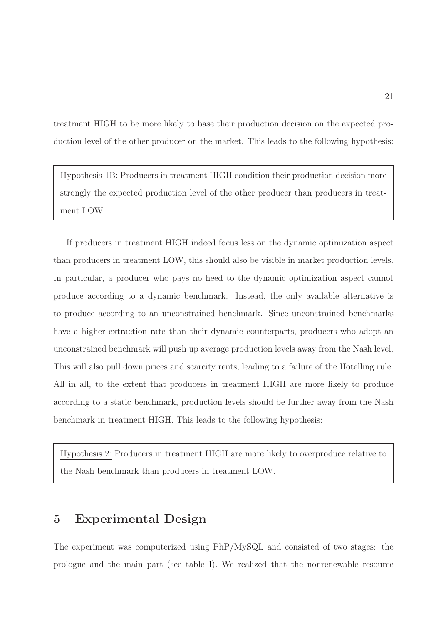treatment HIGH to be more likely to base their production decision on the expected production level of the other producer on the market. This leads to the following hypothesis:

Hypothesis 1B: Producers in treatment HIGH condition their production decision more strongly the expected production level of the other producer than producers in treatment LOW.

If producers in treatment HIGH indeed focus less on the dynamic optimization aspect than producers in treatment LOW, this should also be visible in market production levels. In particular, a producer who pays no heed to the dynamic optimization aspect cannot produce according to a dynamic benchmark. Instead, the only available alternative is to produce according to an unconstrained benchmark. Since unconstrained benchmarks have a higher extraction rate than their dynamic counterparts, producers who adopt an unconstrained benchmark will push up average production levels away from the Nash level. This will also pull down prices and scarcity rents, leading to a failure of the Hotelling rule. All in all, to the extent that producers in treatment HIGH are more likely to produce according to a static benchmark, production levels should be further away from the Nash benchmark in treatment HIGH. This leads to the following hypothesis:

Hypothesis 2: Producers in treatment HIGH are more likely to overproduce relative to the Nash benchmark than producers in treatment LOW.

# 5 Experimental Design

The experiment was computerized using PhP/MySQL and consisted of two stages: the prologue and the main part (see table [I\)](#page-20-0). We realized that the nonrenewable resource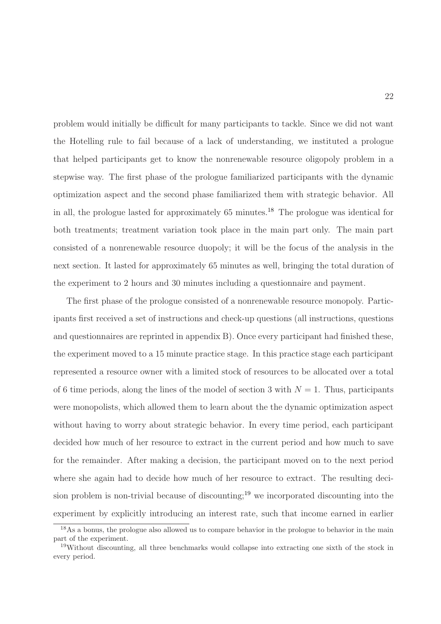problem would initially be difficult for many participants to tackle. Since we did not want the Hotelling rule to fail because of a lack of understanding, we instituted a prologue that helped participants get to know the nonrenewable resource oligopoly problem in a stepwise way. The first phase of the prologue familiarized participants with the dynamic optimization aspect and the second phase familiarized them with strategic behavior. All in all, the prologue lasted for approximately  $65$  minutes.<sup>18</sup> The prologue was identical for both treatments; treatment variation took place in the main part only. The main part consisted of a nonrenewable resource duopoly; it will be the focus of the analysis in the next section. It lasted for approximately 65 minutes as well, bringing the total duration of the experiment to 2 hours and 30 minutes including a questionnaire and payment.

The first phase of the prologue consisted of a nonrenewable resource monopoly. Participants first received a set of instructions and check-up questions (all instructions, questions and questionnaires are reprinted in appendix B). Once every participant had finished these, the experiment moved to a 15 minute practice stage. In this practice stage each participant represented a resource owner with a limited stock of resources to be allocated over a total of 6 time periods, along the lines of the model of section 3 with  $N = 1$ . Thus, participants were monopolists, which allowed them to learn about the the dynamic optimization aspect without having to worry about strategic behavior. In every time period, each participant decided how much of her resource to extract in the current period and how much to save for the remainder. After making a decision, the participant moved on to the next period where she again had to decide how much of her resource to extract. The resulting decision problem is non-trivial because of discounting;<sup>19</sup> we incorporated discounting into the experiment by explicitly introducing an interest rate, such that income earned in earlier

<sup>&</sup>lt;sup>18</sup>As a bonus, the prologue also allowed us to compare behavior in the prologue to behavior in the main part of the experiment.

<sup>19</sup>Without discounting, all three benchmarks would collapse into extracting one sixth of the stock in every period.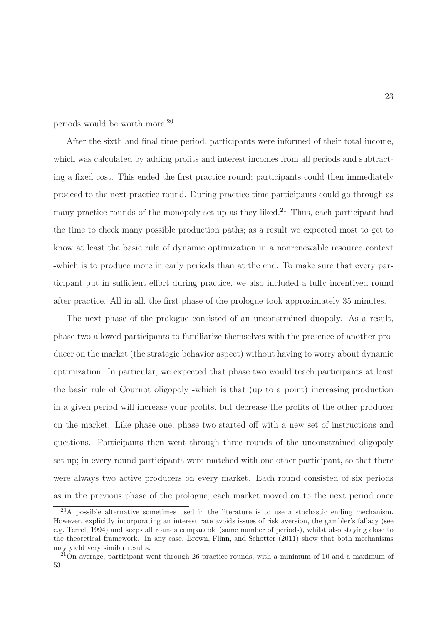periods would be worth more.<sup>20</sup>

After the sixth and final time period, participants were informed of their total income, which was calculated by adding profits and interest incomes from all periods and subtracting a fixed cost. This ended the first practice round; participants could then immediately proceed to the next practice round. During practice time participants could go through as many practice rounds of the monopoly set-up as they liked.<sup>21</sup> Thus, each participant had the time to check many possible production paths; as a result we expected most to get to know at least the basic rule of dynamic optimization in a nonrenewable resource context -which is to produce more in early periods than at the end. To make sure that every participant put in sufficient effort during practice, we also included a fully incentived round after practice. All in all, the first phase of the prologue took approximately 35 minutes.

The next phase of the prologue consisted of an unconstrained duopoly. As a result, phase two allowed participants to familiarize themselves with the presence of another producer on the market (the strategic behavior aspect) without having to worry about dynamic optimization. In particular, we expected that phase two would teach participants at least the basic rule of Cournot oligopoly -which is that (up to a point) increasing production in a given period will increase your profits, but decrease the profits of the other producer on the market. Like phase one, phase two started off with a new set of instructions and questions. Participants then went through three rounds of the unconstrained oligopoly set-up; in every round participants were matched with one other participant, so that there were always two active producers on every market. Each round consisted of six periods as in the previous phase of the prologue; each market moved on to the next period once

 $^{20}$ A possible alternative sometimes used in the literature is to use a stochastic ending mechanism. However, explicitly incorporating an interest rate avoids issues of risk aversion, the gambler's fallacy (see e.g. [Terrel](#page-49-8), [1994](#page-49-8)) and keeps all rounds comparable (same number of periods), whilst also staying close to the theoretical framework. In any case, [Brown, Flinn, and Schotter](#page-44-8) [\(2011](#page-44-8)) show that both mechanisms may yield very similar results.

 $21$ On average, participant went through 26 practice rounds, with a minimum of 10 and a maximum of 53.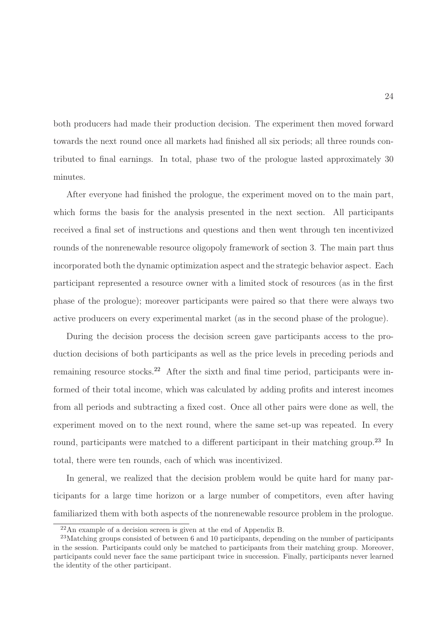both producers had made their production decision. The experiment then moved forward towards the next round once all markets had finished all six periods; all three rounds contributed to final earnings. In total, phase two of the prologue lasted approximately 30 minutes.

After everyone had finished the prologue, the experiment moved on to the main part, which forms the basis for the analysis presented in the next section. All participants received a final set of instructions and questions and then went through ten incentivized rounds of the nonrenewable resource oligopoly framework of section 3. The main part thus incorporated both the dynamic optimization aspect and the strategic behavior aspect. Each participant represented a resource owner with a limited stock of resources (as in the first phase of the prologue); moreover participants were paired so that there were always two active producers on every experimental market (as in the second phase of the prologue).

During the decision process the decision screen gave participants access to the production decisions of both participants as well as the price levels in preceding periods and remaining resource stocks.<sup>22</sup> After the sixth and final time period, participants were informed of their total income, which was calculated by adding profits and interest incomes from all periods and subtracting a fixed cost. Once all other pairs were done as well, the experiment moved on to the next round, where the same set-up was repeated. In every round, participants were matched to a different participant in their matching group.<sup>23</sup> In total, there were ten rounds, each of which was incentivized.

In general, we realized that the decision problem would be quite hard for many participants for a large time horizon or a large number of competitors, even after having familiarized them with both aspects of the nonrenewable resource problem in the prologue.

<sup>22</sup>An example of a decision screen is given at the end of Appendix B.

<sup>&</sup>lt;sup>23</sup>Matching groups consisted of between 6 and 10 participants, depending on the number of participants in the session. Participants could only be matched to participants from their matching group. Moreover, participants could never face the same participant twice in succession. Finally, participants never learned the identity of the other participant.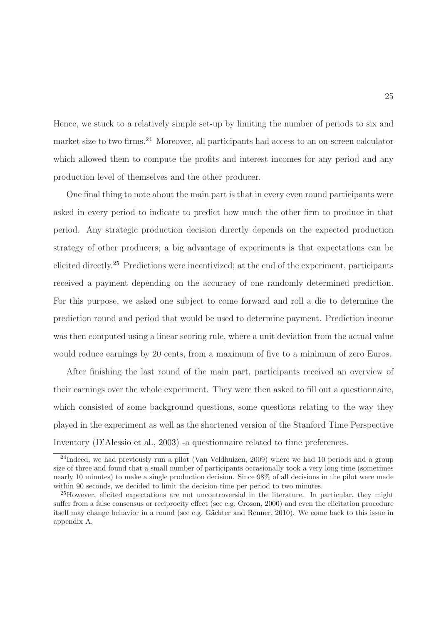Hence, we stuck to a relatively simple set-up by limiting the number of periods to six and market size to two firms.<sup>24</sup> Moreover, all participants had access to an on-screen calculator which allowed them to compute the profits and interest incomes for any period and any production level of themselves and the other producer.

One final thing to note about the main part is that in every even round participants were asked in every period to indicate to predict how much the other firm to produce in that period. Any strategic production decision directly depends on the expected production strategy of other producers; a big advantage of experiments is that expectations can be elicited directly.<sup>25</sup> Predictions were incentivized; at the end of the experiment, participants received a payment depending on the accuracy of one randomly determined prediction. For this purpose, we asked one subject to come forward and roll a die to determine the prediction round and period that would be used to determine payment. Prediction income was then computed using a linear scoring rule, where a unit deviation from the actual value would reduce earnings by 20 cents, from a maximum of five to a minimum of zero Euros.

After finishing the last round of the main part, participants received an overview of their earnings over the whole experiment. They were then asked to fill out a questionnaire, which consisted of some background questions, some questions relating to the way they played in the experiment as well as the shortened version of the Stanford Time Perspective Inventory [\(D'Alessio et al.,](#page-45-7) [2003](#page-45-7)) -a questionnaire related to time preferences.

<sup>&</sup>lt;sup>24</sup>Indeed, we had previously run a pilot (Van Veldhuizen, 2009) where we had 10 periods and a group size of three and found that a small number of participants occasionally took a very long time (sometimes nearly 10 minutes) to make a single production decision. Since 98% of all decisions in the pilot were made within 90 seconds, we decided to limit the decision time per period to two minutes.

<sup>&</sup>lt;sup>25</sup>However, elicited expectations are not uncontroversial in the literature. In particular, they might suffer from a false consensus or reciprocity effect (see e.g. [Croson,](#page-45-8) [2000](#page-45-8)) and even the elicitation procedure itself may change behavior in a round (see e.g. Gächter and Renner, [2010](#page-46-8)). We come back to this issue in appendix A.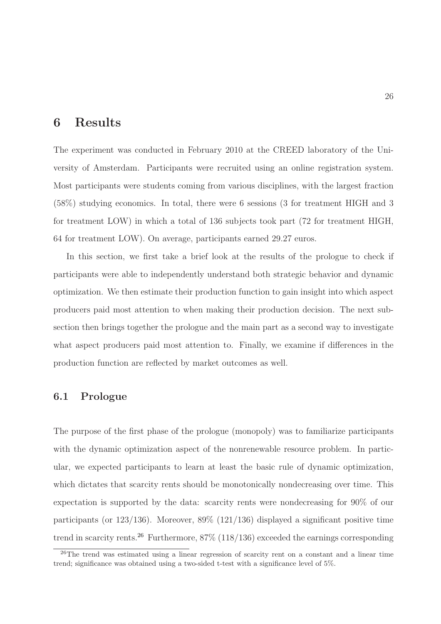# 6 Results

The experiment was conducted in February 2010 at the CREED laboratory of the University of Amsterdam. Participants were recruited using an online registration system. Most participants were students coming from various disciplines, with the largest fraction (58%) studying economics. In total, there were 6 sessions (3 for treatment HIGH and 3 for treatment LOW) in which a total of 136 subjects took part (72 for treatment HIGH, 64 for treatment LOW). On average, participants earned 29.27 euros.

In this section, we first take a brief look at the results of the prologue to check if participants were able to independently understand both strategic behavior and dynamic optimization. We then estimate their production function to gain insight into which aspect producers paid most attention to when making their production decision. The next subsection then brings together the prologue and the main part as a second way to investigate what aspect producers paid most attention to. Finally, we examine if differences in the production function are reflected by market outcomes as well.

### 6.1 Prologue

The purpose of the first phase of the prologue (monopoly) was to familiarize participants with the dynamic optimization aspect of the nonrenewable resource problem. In particular, we expected participants to learn at least the basic rule of dynamic optimization, which dictates that scarcity rents should be monotonically nondecreasing over time. This expectation is supported by the data: scarcity rents were nondecreasing for 90% of our participants (or  $123/136$ ). Moreover,  $89\%$  ( $121/136$ ) displayed a significant positive time trend in scarcity rents.<sup>26</sup> Furthermore,  $87\%$  (118/136) exceeded the earnings corresponding

<sup>&</sup>lt;sup>26</sup>The trend was estimated using a linear regression of scarcity rent on a constant and a linear time trend; significance was obtained using a two-sided t-test with a significance level of 5%.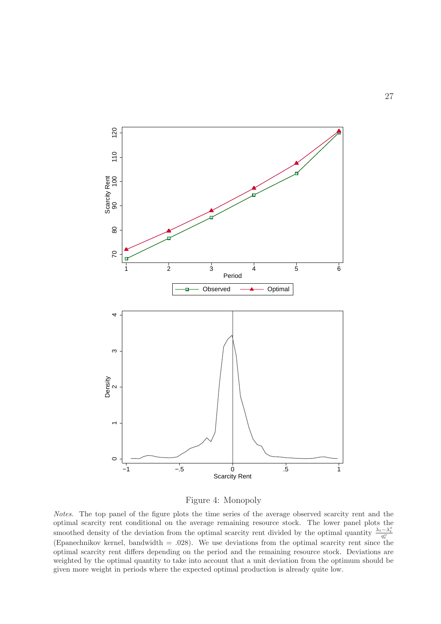

<span id="page-28-0"></span>

Notes. The top panel of the figure plots the time series of the average observed scarcity rent and the optimal scarcity rent conditional on the average remaining resource stock. The lower panel plots the smoothed density of the deviation from the optimal scarcity rent divided by the optimal quantity  $\frac{\lambda_t - \lambda_t^o}{q_t^o}$ (Epanechnikov kernel, bandwidth = .028). We use deviations from the optimal scarcity rent since the optimal scarcity rent differs depending on the period and the remaining resource stock. Deviations are weighted by the optimal quantity to take into account that a unit deviation from the optimum should be given more weight in periods where the expected optimal production is already quite low.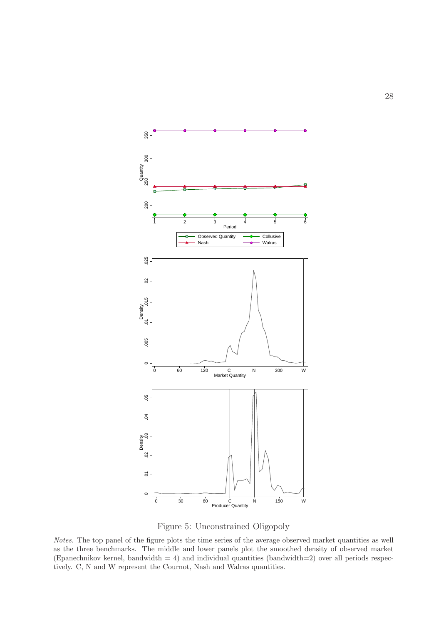

<span id="page-29-0"></span>Figure 5: Unconstrained Oligopoly

Notes. The top panel of the figure plots the time series of the average observed market quantities as well as the three benchmarks. The middle and lower panels plot the smoothed density of observed market (Epanechnikov kernel, bandwidth  $= 4$ ) and individual quantities (bandwidth=2) over all periods respectively. C, N and W represent the Cournot, Nash and Walras quantities.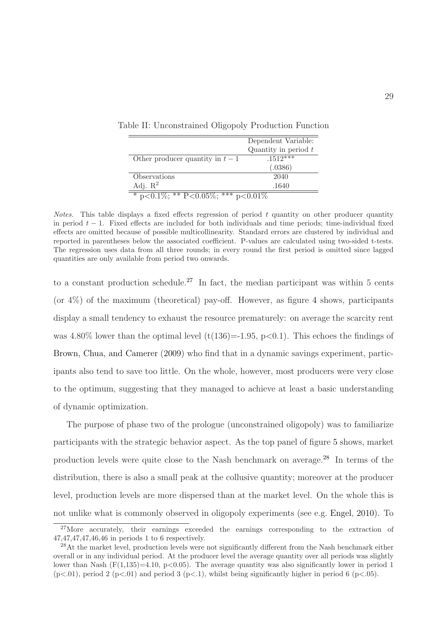<span id="page-30-0"></span>

|                                      | Dependent Variable:    |
|--------------------------------------|------------------------|
|                                      | Quantity in period $t$ |
| Other producer quantity in $t-1$     | $.1512***$             |
|                                      | (.0386)                |
| Observations                         | 2040                   |
| Adj. $\mathbb{R}^2$                  | .1640                  |
| * p<0.1\%; ** P<0.05\%; *** p<0.01\% |                        |

Table II: Unconstrained Oligopoly Production Function

*Notes.* This table displays a fixed effects regression of period  $t$  quantity on other producer quantity in period  $t - 1$ . Fixed effects are included for both individuals and time periods; time-individual fixed effects are omitted because of possible multicollinearity. Standard errors are clustered by individual and reported in parentheses below the associated coefficient. P-values are calculated using two-sided t-tests. The regression uses data from all three rounds; in every round the first period is omitted since lagged quantities are only available from period two onwards.

to a constant production schedule.<sup>27</sup> In fact, the median participant was within 5 cents (or  $4\%$  $4\%$ ) of the maximum (theoretical) pay-off. However, as figure 4 shows, participants display a small tendency to exhaust the resource prematurely: on average the scarcity rent was 4.80% lower than the optimal level  $(t(136)=1.95, p<0.1)$ . This echoes the findings of [Brown, Chua, and Camerer](#page-44-4) [\(2009](#page-44-4)) who find that in a dynamic savings experiment, participants also tend to save too little. On the whole, however, most producers were very close to the optimum, suggesting that they managed to achieve at least a basic understanding of dynamic optimization.

The purpose of phase two of the prologue (unconstrained oligopoly) was to familiarize participants with the strategic behavior aspect. As the top panel of figure [5](#page-29-0) shows, market production levels were quite close to the Nash benchmark on average.<sup>28</sup> In terms of the distribution, there is also a small peak at the collusive quantity; moreover at the producer level, production levels are more dispersed than at the market level. On the whole this is not unlike what is commonly observed in oligopoly experiments (see e.g. [Engel](#page-45-3), [2010\)](#page-45-3). To

 $27$ More accurately, their earnings exceeded the earnings corresponding to the extraction of 47,47,47,47,46,46 in periods 1 to 6 respectively.

<sup>&</sup>lt;sup>28</sup>At the market level, production levels were not significantly different from the Nash benchmark either overall or in any individual period. At the producer level the average quantity over all periods was slightly lower than Nash  $(F(1,135)=4.10, p<0.05)$ . The average quantity was also significantly lower in period 1  $(p<.01)$ , period 2 (p $<.01$ ) and period 3 (p $<.1$ ), whilst being significantly higher in period 6 (p $<.05$ ).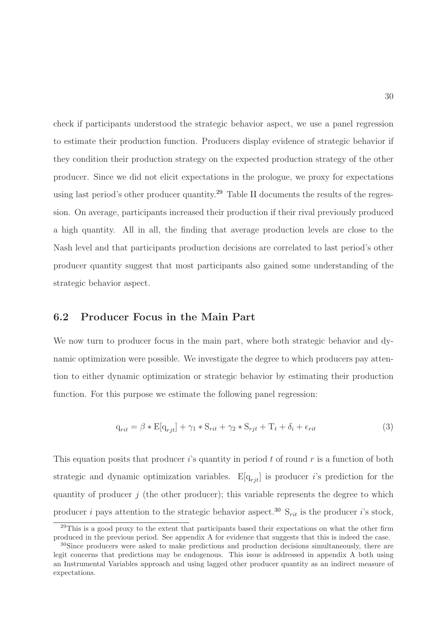check if participants understood the strategic behavior aspect, we use a panel regression to estimate their production function. Producers display evidence of strategic behavior if they condition their production strategy on the expected production strategy of the other producer. Since we did not elicit expectations in the prologue, we proxy for expectations using last period's other producer quantity.<sup>29</sup> Table [II](#page-30-0) documents the results of the regression. On average, participants increased their production if their rival previously produced a high quantity. All in all, the finding that average production levels are close to the Nash level and that participants production decisions are correlated to last period's other producer quantity suggest that most participants also gained some understanding of the strategic behavior aspect.

### 6.2 Producer Focus in the Main Part

We now turn to producer focus in the main part, where both strategic behavior and dynamic optimization were possible. We investigate the degree to which producers pay attention to either dynamic optimization or strategic behavior by estimating their production function. For this purpose we estimate the following panel regression:

$$
q_{rit} = \beta * E[q_{rjt}] + \gamma_1 * S_{rit} + \gamma_2 * S_{rjt} + T_t + \delta_i + \epsilon_{rit}
$$
\n(3)

This equation posits that producer i's quantity in period t of round  $r$  is a function of both strategic and dynamic optimization variables.  $E[q_{rit}]$  is producer i's prediction for the quantity of producer  $j$  (the other producer); this variable represents the degree to which producer i pays attention to the strategic behavior aspect.<sup>30</sup>  $S_{rit}$  is the producer i's stock,

 $^{29}$ This is a good proxy to the extent that participants based their expectations on what the other firm produced in the previous period. See appendix A for evidence that suggests that this is indeed the case.

<sup>&</sup>lt;sup>30</sup>Since producers were asked to make predictions and production decisions simultaneously, there are legit concerns that predictions may be endogenous. This issue is addressed in appendix A both using an Instrumental Variables approach and using lagged other producer quantity as an indirect measure of expectations.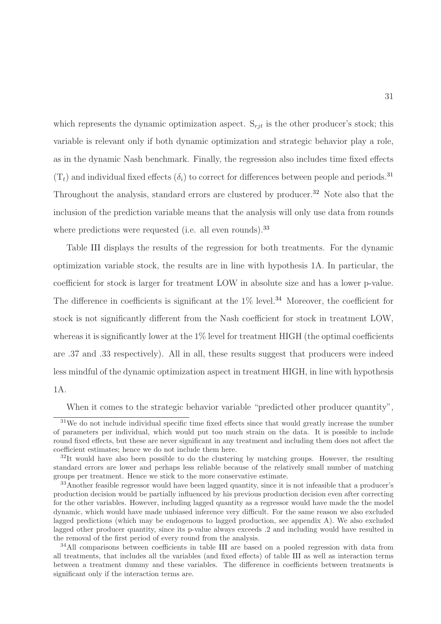which represents the dynamic optimization aspect.  $S_{rjt}$  is the other producer's stock; this variable is relevant only if both dynamic optimization and strategic behavior play a role, as in the dynamic Nash benchmark. Finally, the regression also includes time fixed effects  $(T_t)$  and individual fixed effects  $(\delta_i)$  to correct for differences between people and periods.<sup>31</sup> Throughout the analysis, standard errors are clustered by producer.<sup>32</sup> Note also that the inclusion of the prediction variable means that the analysis will only use data from rounds where predictions were requested (i.e. all even rounds).<sup>33</sup>

Table [III](#page-33-0) displays the results of the regression for both treatments. For the dynamic optimization variable stock, the results are in line with hypothesis 1A. In particular, the coefficient for stock is larger for treatment LOW in absolute size and has a lower p-value. The difference in coefficients is significant at the  $1\%$  level.<sup>34</sup> Moreover, the coefficient for stock is not significantly different from the Nash coefficient for stock in treatment LOW, whereas it is significantly lower at the 1% level for treatment HIGH (the optimal coefficients are .37 and .33 respectively). All in all, these results suggest that producers were indeed less mindful of the dynamic optimization aspect in treatment HIGH, in line with hypothesis 1A.

When it comes to the strategic behavior variable "predicted other producer quantity",

<sup>&</sup>lt;sup>31</sup>We do not include individual specific time fixed effects since that would greatly increase the number of parameters per individual, which would put too much strain on the data. It is possible to include round fixed effects, but these are never significant in any treatment and including them does not affect the coefficient estimates; hence we do not include them here.

 $32$ It would have also been possible to do the clustering by matching groups. However, the resulting standard errors are lower and perhaps less reliable because of the relatively small number of matching groups per treatment. Hence we stick to the more conservative estimate.

<sup>&</sup>lt;sup>33</sup>Another feasible regressor would have been lagged quantity, since it is not infeasible that a producer's production decision would be partially influenced by his previous production decision even after correcting for the other variables. However, including lagged quantity as a regressor would have made the the model dynamic, which would have made unbiased inference very difficult. For the same reason we also excluded lagged predictions (which may be endogenous to lagged production, see appendix A). We also excluded lagged other producer quantity, since its p-value always exceeds .2 and including would have resulted in the removal of the first period of every round from the analysis.

<sup>&</sup>lt;sup>34</sup>All comparisons between coefficients in table [III](#page-33-0) are based on a pooled regression with data from all treatments, that includes all the variables (and fixed effects) of table [III](#page-33-0) as well as interaction terms between a treatment dummy and these variables. The difference in coefficients between treatments is significant only if the interaction terms are.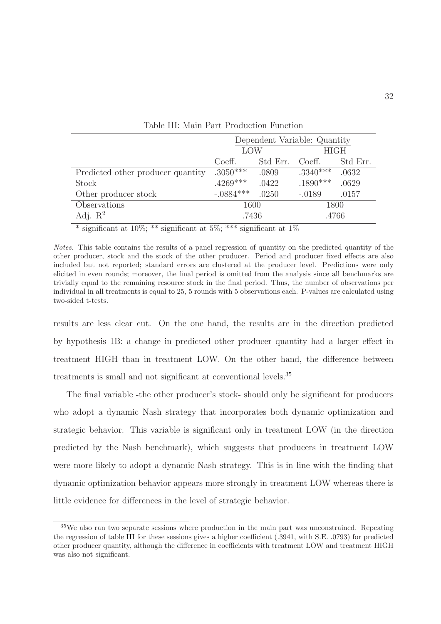|                                   | Dependent Variable: Quantity |          |             |          |  |
|-----------------------------------|------------------------------|----------|-------------|----------|--|
|                                   | LOW                          |          | <b>HIGH</b> |          |  |
|                                   | Coeff.                       | Std Err. | Coeff.      | Std Err. |  |
| Predicted other producer quantity | $.3050***$                   | .0809    | $.3340***$  | .0632    |  |
| Stock                             | $.4269***$                   | .0422    | $.1890***$  | .0629    |  |
| Other producer stock              | $-.0884***$                  | .0250    | $-.0189$    | .0157    |  |
| Observations                      | 1600                         |          | 1800        |          |  |
| Adj. $\mathbb{R}^2$               | .7436                        |          | .4766       |          |  |

<span id="page-33-0"></span>Table III: Main Part Production Function

\* significant at  $10\%$ ; \*\* significant at  $5\%$ ; \*\*\* significant at  $1\%$ 

Notes. This table contains the results of a panel regression of quantity on the predicted quantity of the other producer, stock and the stock of the other producer. Period and producer fixed effects are also included but not reported; standard errors are clustered at the producer level. Predictions were only elicited in even rounds; moreover, the final period is omitted from the analysis since all benchmarks are trivially equal to the remaining resource stock in the final period. Thus, the number of observations per individual in all treatments is equal to 25, 5 rounds with 5 observations each. P-values are calculated using two-sided t-tests.

results are less clear cut. On the one hand, the results are in the direction predicted by hypothesis 1B: a change in predicted other producer quantity had a larger effect in treatment HIGH than in treatment LOW. On the other hand, the difference between treatments is small and not significant at conventional levels.<sup>35</sup>

The final variable -the other producer's stock- should only be significant for producers who adopt a dynamic Nash strategy that incorporates both dynamic optimization and strategic behavior. This variable is significant only in treatment LOW (in the direction predicted by the Nash benchmark), which suggests that producers in treatment LOW were more likely to adopt a dynamic Nash strategy. This is in line with the finding that dynamic optimization behavior appears more strongly in treatment LOW whereas there is little evidence for differences in the level of strategic behavior.

<sup>35</sup>We also ran two separate sessions where production in the main part was unconstrained. Repeating the regression of table [III](#page-33-0) for these sessions gives a higher coefficient (.3941, with S.E. .0793) for predicted other producer quantity, although the difference in coefficients with treatment LOW and treatment HIGH was also not significant.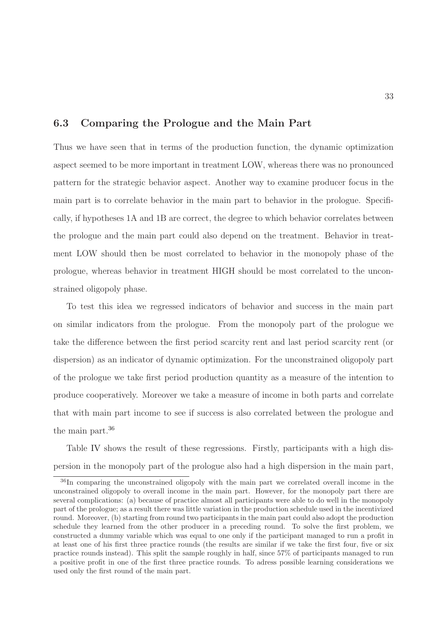## 6.3 Comparing the Prologue and the Main Part

Thus we have seen that in terms of the production function, the dynamic optimization aspect seemed to be more important in treatment LOW, whereas there was no pronounced pattern for the strategic behavior aspect. Another way to examine producer focus in the main part is to correlate behavior in the main part to behavior in the prologue. Specifically, if hypotheses 1A and 1B are correct, the degree to which behavior correlates between the prologue and the main part could also depend on the treatment. Behavior in treatment LOW should then be most correlated to behavior in the monopoly phase of the prologue, whereas behavior in treatment HIGH should be most correlated to the unconstrained oligopoly phase.

To test this idea we regressed indicators of behavior and success in the main part on similar indicators from the prologue. From the monopoly part of the prologue we take the difference between the first period scarcity rent and last period scarcity rent (or dispersion) as an indicator of dynamic optimization. For the unconstrained oligopoly part of the prologue we take first period production quantity as a measure of the intention to produce cooperatively. Moreover we take a measure of income in both parts and correlate that with main part income to see if success is also correlated between the prologue and the main part.<sup>36</sup>

Table [IV](#page-35-0) shows the result of these regressions. Firstly, participants with a high dispersion in the monopoly part of the prologue also had a high dispersion in the main part,

<sup>36</sup>In comparing the unconstrained oligopoly with the main part we correlated overall income in the unconstrained oligopoly to overall income in the main part. However, for the monopoly part there are several complications: (a) because of practice almost all participants were able to do well in the monopoly part of the prologue; as a result there was little variation in the production schedule used in the incentivized round. Moreover, (b) starting from round two participants in the main part could also adopt the production schedule they learned from the other producer in a preceding round. To solve the first problem, we constructed a dummy variable which was equal to one only if the participant managed to run a profit in at least one of his first three practice rounds (the results are similar if we take the first four, five or six practice rounds instead). This split the sample roughly in half, since 57% of participants managed to run a positive profit in one of the first three practice rounds. To adress possible learning considerations we used only the first round of the main part.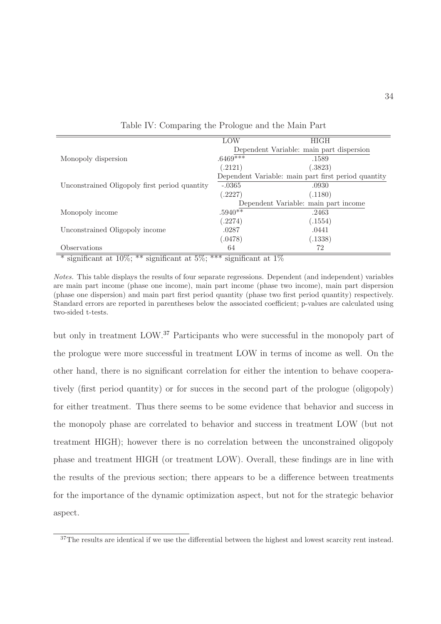|                                                                                                                                                                                                                                                                                                                                                                                                              | LOW                                      | <b>HIGH</b>                                         |
|--------------------------------------------------------------------------------------------------------------------------------------------------------------------------------------------------------------------------------------------------------------------------------------------------------------------------------------------------------------------------------------------------------------|------------------------------------------|-----------------------------------------------------|
|                                                                                                                                                                                                                                                                                                                                                                                                              |                                          | Dependent Variable: main part dispersion            |
| Monopoly dispersion                                                                                                                                                                                                                                                                                                                                                                                          | $.6469****$                              | .1589                                               |
|                                                                                                                                                                                                                                                                                                                                                                                                              | (.2121)                                  | (.3823)                                             |
|                                                                                                                                                                                                                                                                                                                                                                                                              |                                          | Dependent Variable: main part first period quantity |
| Unconstrained Oligopoly first period quantity                                                                                                                                                                                                                                                                                                                                                                | $-.0365$                                 | .0930                                               |
|                                                                                                                                                                                                                                                                                                                                                                                                              | (.2227)                                  | (.1180)                                             |
|                                                                                                                                                                                                                                                                                                                                                                                                              |                                          | Dependent Variable: main part income                |
| Monopoly income                                                                                                                                                                                                                                                                                                                                                                                              | $.5940**$                                | .2463                                               |
|                                                                                                                                                                                                                                                                                                                                                                                                              | (.2274)                                  | (.1554)                                             |
| Unconstrained Oligopoly income                                                                                                                                                                                                                                                                                                                                                                               | .0287                                    | .0441                                               |
|                                                                                                                                                                                                                                                                                                                                                                                                              | (.0478)                                  | (.1338)                                             |
| Observations                                                                                                                                                                                                                                                                                                                                                                                                 | 64                                       | 72                                                  |
| 1.1007<br>不不<br>$\overline{H}$<br>$\frac{1}{2}$ $\frac{1}{2}$ $\frac{1}{2}$ $\frac{1}{2}$ $\frac{1}{2}$ $\frac{1}{2}$ $\frac{1}{2}$ $\frac{1}{2}$ $\frac{1}{2}$ $\frac{1}{2}$ $\frac{1}{2}$ $\frac{1}{2}$ $\frac{1}{2}$ $\frac{1}{2}$ $\frac{1}{2}$ $\frac{1}{2}$ $\frac{1}{2}$ $\frac{1}{2}$ $\frac{1}{2}$ $\frac{1}{2}$ $\frac{1}{2}$ $\frac{1}{2}$<br>$\overline{\cdot}$<br>$\overline{\cdot}$<br>$\cdot$ | <b>不不不</b> •<br>$\overline{\phantom{a}}$ | 1, 1, 1                                             |

<span id="page-35-0"></span>Table IV: Comparing the Prologue and the Main Part

\* significant at  $10\%$ ; \*\* significant at  $5\%$ ; \*\*\* significant at  $1\%$ 

Notes. This table displays the results of four separate regressions. Dependent (and independent) variables are main part income (phase one income), main part income (phase two income), main part dispersion (phase one dispersion) and main part first period quantity (phase two first period quantity) respectively. Standard errors are reported in parentheses below the associated coefficient; p-values are calculated using two-sided t-tests.

but only in treatment LOW.<sup>37</sup> Participants who were successful in the monopoly part of the prologue were more successful in treatment LOW in terms of income as well. On the other hand, there is no significant correlation for either the intention to behave cooperatively (first period quantity) or for succes in the second part of the prologue (oligopoly) for either treatment. Thus there seems to be some evidence that behavior and success in the monopoly phase are correlated to behavior and success in treatment LOW (but not treatment HIGH); however there is no correlation between the unconstrained oligopoly phase and treatment HIGH (or treatment LOW). Overall, these findings are in line with the results of the previous section; there appears to be a difference between treatments for the importance of the dynamic optimization aspect, but not for the strategic behavior aspect.

<sup>&</sup>lt;sup>37</sup>The results are identical if we use the differential between the highest and lowest scarcity rent instead.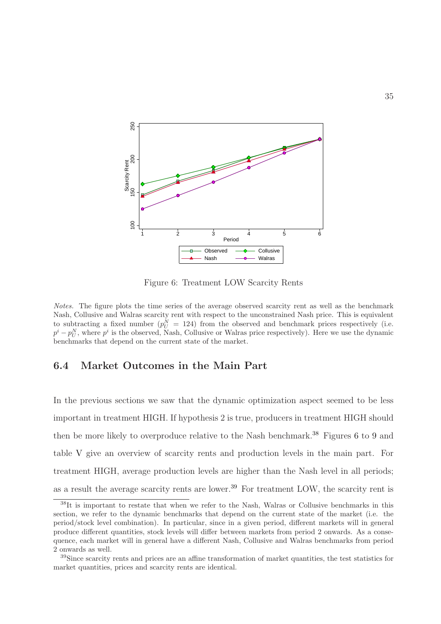

<span id="page-36-0"></span>Figure 6: Treatment LOW Scarcity Rents

Notes. The figure plots the time series of the average observed scarcity rent as well as the benchmark Nash, Collusive and Walras scarcity rent with respect to the unconstrained Nash price. This is equivalent to subtracting a fixed number  $(p_U^N = 124)$  from the observed and benchmark prices respectively (i.e.  $p^{i} - p_{U}^{N}$ , where  $p^{i}$  is the observed, Nash, Collusive or Walras price respectively). Here we use the dynamic benchmarks that depend on the current state of the market.

### 6.4 Market Outcomes in the Main Part

In the previous sections we saw that the dynamic optimization aspect seemed to be less important in treatment HIGH. If hypothesis 2 is true, producers in treatment HIGH should then be more likely to overproduce relative to the Nash benchmark.<sup>38</sup> Figures [6](#page-36-0) to [9](#page-40-0) and table [V](#page-38-0) give an overview of scarcity rents and production levels in the main part. For treatment HIGH, average production levels are higher than the Nash level in all periods; as a result the average scarcity rents are lower.<sup>39</sup> For treatment LOW, the scarcity rent is

<sup>38</sup>It is important to restate that when we refer to the Nash, Walras or Collusive benchmarks in this section, we refer to the dynamic benchmarks that depend on the current state of the market (i.e. the period/stock level combination). In particular, since in a given period, different markets will in general produce different quantities, stock levels will differ between markets from period 2 onwards. As a consequence, each market will in general have a different Nash, Collusive and Walras benchmarks from period 2 onwards as well.

<sup>&</sup>lt;sup>39</sup>Since scarcity rents and prices are an affine transformation of market quantities, the test statistics for market quantities, prices and scarcity rents are identical.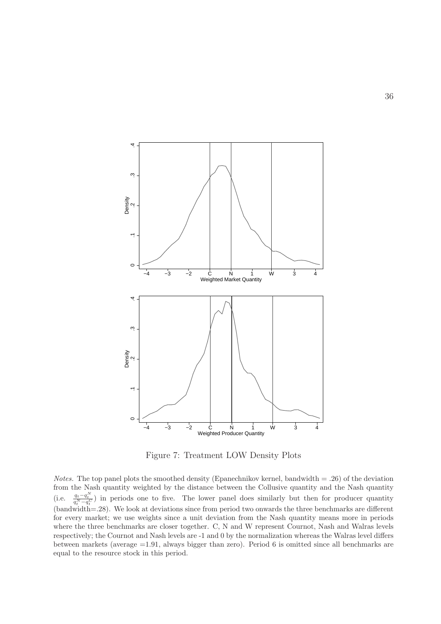

<span id="page-37-0"></span>Figure 7: Treatment LOW Density Plots

*Notes.* The top panel plots the smoothed density (Epanechnikov kernel, bandwidth  $= .26$ ) of the deviation from the Nash quantity weighted by the distance between the Collusive quantity and the Nash quantity (i.e.  $\frac{q_t - q_t^N}{q_t^N - q_t^C}$ ) in periods one to five. The lower panel does similarly but then for producer quantity  $(\text{bandwidth} = .28)$ . We look at deviations since from period two onwards the three benchmarks are different for every market; we use weights since a unit deviation from the Nash quantity means more in periods where the three benchmarks are closer together. C, N and W represent Cournot, Nash and Walras levels respectively; the Cournot and Nash levels are -1 and 0 by the normalization whereas the Walras level differs between markets (average =1.91, always bigger than zero). Period 6 is omitted since all benchmarks are equal to the resource stock in this period.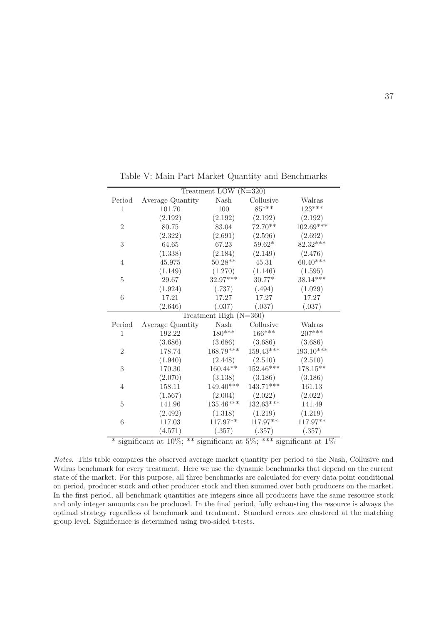| Treatment LOW $(N=320)$ |                                                                            |                          |             |             |  |  |  |  |
|-------------------------|----------------------------------------------------------------------------|--------------------------|-------------|-------------|--|--|--|--|
| Period                  | Average Quantity                                                           | Nash                     | Collusive   | Walras      |  |  |  |  |
| $\mathbf{1}$            | 101.70                                                                     | 100                      | 85***       | $123***$    |  |  |  |  |
|                         | (2.192)                                                                    | (2.192)                  | (2.192)     | (2.192)     |  |  |  |  |
| $\overline{2}$          | 80.75                                                                      | $83.04\,$                | $72.70**$   | $102.69***$ |  |  |  |  |
|                         | (2.322)                                                                    | (2.691)                  | (2.596)     | (2.692)     |  |  |  |  |
| 3                       | 64.65                                                                      | 67.23                    | $59.62*$    | 82.32***    |  |  |  |  |
|                         | (1.338)                                                                    | (2.184)                  | (2.149)     | (2.476)     |  |  |  |  |
| 4                       | 45.975                                                                     | $50.28**$                | 45.31       | $60.40***$  |  |  |  |  |
|                         | (1.149)                                                                    | (1.270)                  | (1.146)     | (1.595)     |  |  |  |  |
| 5                       | 29.67                                                                      | $32.97***$               | $30.77*$    | $38.14***$  |  |  |  |  |
|                         | (1.924)                                                                    | (.737)                   | (.494)      | (1.029)     |  |  |  |  |
| 6                       | 17.21                                                                      | 17.27                    | 17.27       | 17.27       |  |  |  |  |
|                         | (2.646)                                                                    | (.037)                   | (.037)      | (.037)      |  |  |  |  |
|                         |                                                                            | Treatment High $(N=360)$ |             |             |  |  |  |  |
| Period                  | Average Quantity                                                           | $\operatorname{Nash}$    | Collusive   | Walras      |  |  |  |  |
| $\mathbf{1}$            | 192.22                                                                     | $180***$                 | 166***      | $207***$    |  |  |  |  |
|                         | (3.686)                                                                    | (3.686)                  | (3.686)     | (3.686)     |  |  |  |  |
| $\overline{2}$          | 178.74                                                                     | $168.79***$              | $159.43***$ | $193.10***$ |  |  |  |  |
|                         | (1.940)                                                                    | (2.448)                  | (2.510)     | (2.510)     |  |  |  |  |
| 3                       | $170.30\,$                                                                 | $160.44**$               | $152.46***$ | $178.15***$ |  |  |  |  |
|                         | (2.070)                                                                    | (3.138)                  | (3.186)     | (3.186)     |  |  |  |  |
| 4                       | 158.11                                                                     | 149.40***                | $143.71***$ | 161.13      |  |  |  |  |
|                         | (1.567)                                                                    | (2.004)                  | (2.022)     | (2.022)     |  |  |  |  |
| 5                       | 141.96                                                                     | $135.46***$              | 132.63***   | 141.49      |  |  |  |  |
|                         | (2.492)                                                                    | (1.318)                  | (1.219)     | (1.219)     |  |  |  |  |
| 6                       | 117.03                                                                     | $117.97**$               | 117.97**    | 117.97**    |  |  |  |  |
|                         | (4.571)                                                                    | (.357)                   | (.357)      | (.357)      |  |  |  |  |
|                         | significant at $10\%$ ; ** significant at $5\%$ ; *** significant at $1\%$ |                          |             |             |  |  |  |  |

<span id="page-38-0"></span>Table V: Main Part Market Quantity and Benchmarks

Notes. This table compares the observed average market quantity per period to the Nash, Collusive and Walras benchmark for every treatment. Here we use the dynamic benchmarks that depend on the current state of the market. For this purpose, all three benchmarks are calculated for every data point conditional on period, producer stock and other producer stock and then summed over both producers on the market. In the first period, all benchmark quantities are integers since all producers have the same resource stock and only integer amounts can be produced. In the final period, fully exhausting the resource is always the optimal strategy regardless of benchmark and treatment. Standard errors are clustered at the matching group level. Significance is determined using two-sided t-tests.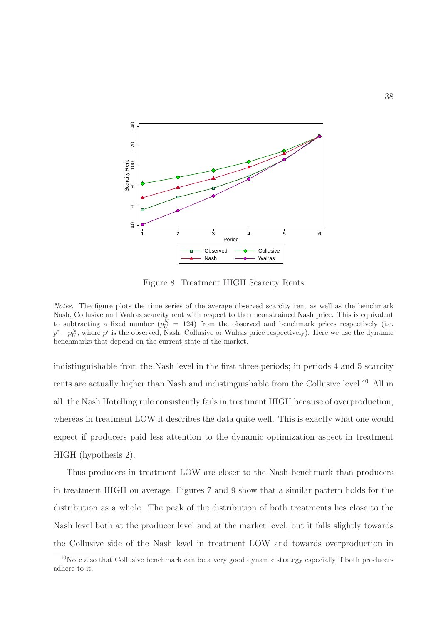

<span id="page-39-0"></span>Figure 8: Treatment HIGH Scarcity Rents

Notes. The figure plots the time series of the average observed scarcity rent as well as the benchmark Nash, Collusive and Walras scarcity rent with respect to the unconstrained Nash price. This is equivalent to subtracting a fixed number  $(p_U^N = 124)$  from the observed and benchmark prices respectively (i.e.  $p^{i} - p_{U}^{N}$ , where  $p^{i}$  is the observed, Nash, Collusive or Walras price respectively). Here we use the dynamic benchmarks that depend on the current state of the market.

indistinguishable from the Nash level in the first three periods; in periods 4 and 5 scarcity rents are actually higher than Nash and indistinguishable from the Collusive level.<sup>40</sup> All in all, the Nash Hotelling rule consistently fails in treatment HIGH because of overproduction, whereas in treatment LOW it describes the data quite well. This is exactly what one would expect if producers paid less attention to the dynamic optimization aspect in treatment HIGH (hypothesis 2).

Thus producers in treatment LOW are closer to the Nash benchmark than producers in treatment HIGH on average. Figures [7](#page-37-0) and [9](#page-40-0) show that a similar pattern holds for the distribution as a whole. The peak of the distribution of both treatments lies close to the Nash level both at the producer level and at the market level, but it falls slightly towards the Collusive side of the Nash level in treatment LOW and towards overproduction in

<sup>&</sup>lt;sup>40</sup>Note also that Collusive benchmark can be a very good dynamic strategy especially if both producers adhere to it.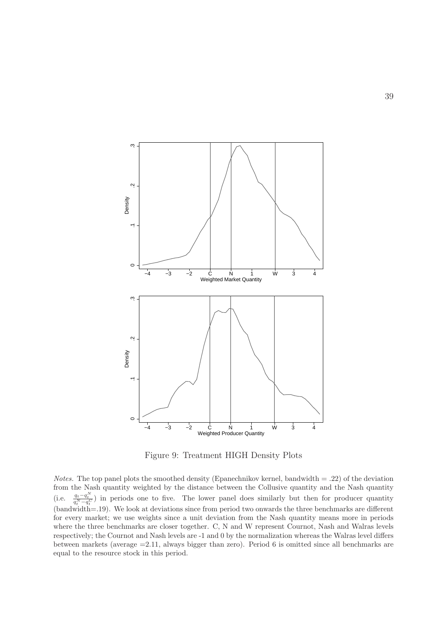

<span id="page-40-0"></span>Figure 9: Treatment HIGH Density Plots

*Notes.* The top panel plots the smoothed density (Epanechnikov kernel, bandwidth  $= .22$ ) of the deviation from the Nash quantity weighted by the distance between the Collusive quantity and the Nash quantity (i.e.  $\frac{q_t - q_t^N}{q_t^N - q_t^C}$ ) in periods one to five. The lower panel does similarly but then for producer quantity  $(\text{bandwidth} = .19)$ . We look at deviations since from period two onwards the three benchmarks are different for every market; we use weights since a unit deviation from the Nash quantity means more in periods where the three benchmarks are closer together. C, N and W represent Cournot, Nash and Walras levels respectively; the Cournot and Nash levels are -1 and 0 by the normalization whereas the Walras level differs between markets (average =2.11, always bigger than zero). Period 6 is omitted since all benchmarks are equal to the resource stock in this period.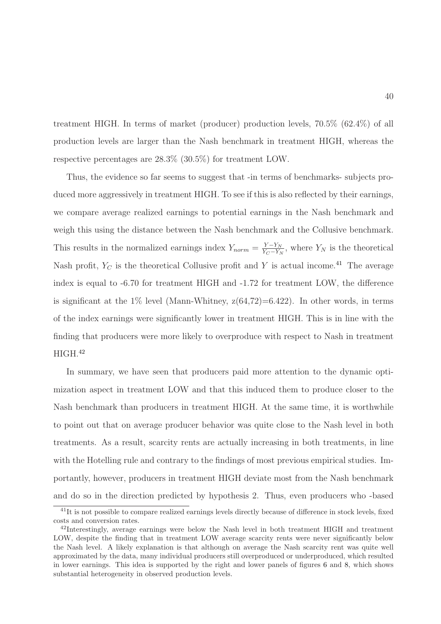treatment HIGH. In terms of market (producer) production levels, 70.5% (62.4%) of all production levels are larger than the Nash benchmark in treatment HIGH, whereas the respective percentages are 28.3% (30.5%) for treatment LOW.

Thus, the evidence so far seems to suggest that -in terms of benchmarks- subjects produced more aggressively in treatment HIGH. To see if this is also reflected by their earnings, we compare average realized earnings to potential earnings in the Nash benchmark and weigh this using the distance between the Nash benchmark and the Collusive benchmark. This results in the normalized earnings index  $Y_{norm} = \frac{Y - Y_N}{Y_O - Y_N}$  $\frac{Y-Y_N}{Y_C-Y_N}$ , where  $Y_N$  is the theoretical Nash profit,  $Y_C$  is the theoretical Collusive profit and Y is actual income.<sup>41</sup> The average index is equal to -6.70 for treatment HIGH and -1.72 for treatment LOW, the difference is significant at the  $1\%$  level (Mann-Whitney,  $z(64,72)=6.422$ ). In other words, in terms of the index earnings were significantly lower in treatment HIGH. This is in line with the finding that producers were more likely to overproduce with respect to Nash in treatment  $HIGH.<sup>42</sup>$ 

In summary, we have seen that producers paid more attention to the dynamic optimization aspect in treatment LOW and that this induced them to produce closer to the Nash benchmark than producers in treatment HIGH. At the same time, it is worthwhile to point out that on average producer behavior was quite close to the Nash level in both treatments. As a result, scarcity rents are actually increasing in both treatments, in line with the Hotelling rule and contrary to the findings of most previous empirical studies. Importantly, however, producers in treatment HIGH deviate most from the Nash benchmark and do so in the direction predicted by hypothesis 2. Thus, even producers who -based

<sup>&</sup>lt;sup>41</sup>It is not possible to compare realized earnings levels directly because of difference in stock levels, fixed costs and conversion rates.

<sup>&</sup>lt;sup>42</sup>Interestingly, average earnings were below the Nash level in both treatment HIGH and treatment LOW, despite the finding that in treatment LOW average scarcity rents were never significantly below the Nash level. A likely explanation is that although on average the Nash scarcity rent was quite well approximated by the data, many individual producers still overproduced or underproduced, which resulted in lower earnings. This idea is supported by the right and lower panels of figures [6](#page-36-0) and [8,](#page-39-0) which shows substantial heterogeneity in observed production levels.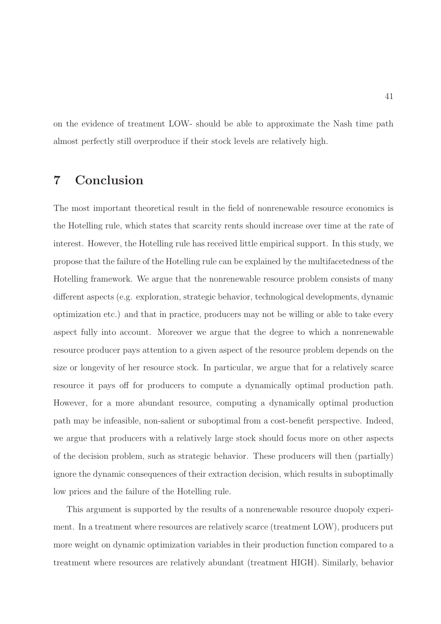on the evidence of treatment LOW- should be able to approximate the Nash time path almost perfectly still overproduce if their stock levels are relatively high.

# 7 Conclusion

The most important theoretical result in the field of nonrenewable resource economics is the Hotelling rule, which states that scarcity rents should increase over time at the rate of interest. However, the Hotelling rule has received little empirical support. In this study, we propose that the failure of the Hotelling rule can be explained by the multifacetedness of the Hotelling framework. We argue that the nonrenewable resource problem consists of many different aspects (e.g. exploration, strategic behavior, technological developments, dynamic optimization etc.) and that in practice, producers may not be willing or able to take every aspect fully into account. Moreover we argue that the degree to which a nonrenewable resource producer pays attention to a given aspect of the resource problem depends on the size or longevity of her resource stock. In particular, we argue that for a relatively scarce resource it pays off for producers to compute a dynamically optimal production path. However, for a more abundant resource, computing a dynamically optimal production path may be infeasible, non-salient or suboptimal from a cost-benefit perspective. Indeed, we argue that producers with a relatively large stock should focus more on other aspects of the decision problem, such as strategic behavior. These producers will then (partially) ignore the dynamic consequences of their extraction decision, which results in suboptimally low prices and the failure of the Hotelling rule.

This argument is supported by the results of a nonrenewable resource duopoly experiment. In a treatment where resources are relatively scarce (treatment LOW), producers put more weight on dynamic optimization variables in their production function compared to a treatment where resources are relatively abundant (treatment HIGH). Similarly, behavior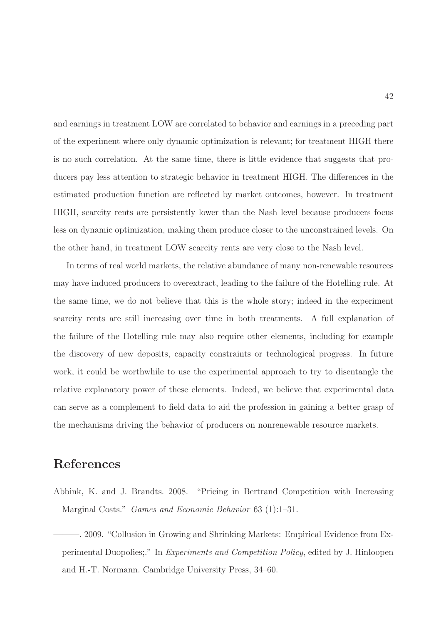and earnings in treatment LOW are correlated to behavior and earnings in a preceding part of the experiment where only dynamic optimization is relevant; for treatment HIGH there is no such correlation. At the same time, there is little evidence that suggests that producers pay less attention to strategic behavior in treatment HIGH. The differences in the estimated production function are reflected by market outcomes, however. In treatment HIGH, scarcity rents are persistently lower than the Nash level because producers focus less on dynamic optimization, making them produce closer to the unconstrained levels. On the other hand, in treatment LOW scarcity rents are very close to the Nash level.

In terms of real world markets, the relative abundance of many non-renewable resources may have induced producers to overextract, leading to the failure of the Hotelling rule. At the same time, we do not believe that this is the whole story; indeed in the experiment scarcity rents are still increasing over time in both treatments. A full explanation of the failure of the Hotelling rule may also require other elements, including for example the discovery of new deposits, capacity constraints or technological progress. In future work, it could be worthwhile to use the experimental approach to try to disentangle the relative explanatory power of these elements. Indeed, we believe that experimental data can serve as a complement to field data to aid the profession in gaining a better grasp of the mechanisms driving the behavior of producers on nonrenewable resource markets.

# References

<span id="page-43-0"></span>Abbink, K. and J. Brandts. 2008. "Pricing in Bertrand Competition with Increasing Marginal Costs." Games and Economic Behavior 63 (1):1–31.

<span id="page-43-1"></span>———. 2009. "Collusion in Growing and Shrinking Markets: Empirical Evidence from Experimental Duopolies;." In Experiments and Competition Policy, edited by J. Hinloopen and H.-T. Normann. Cambridge University Press, 34–60.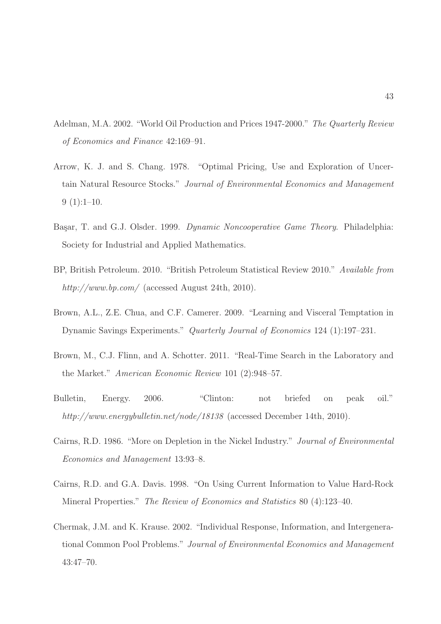- <span id="page-44-0"></span>Adelman, M.A. 2002. "World Oil Production and Prices 1947-2000." The Quarterly Review of Economics and Finance 42:169–91.
- <span id="page-44-5"></span>Arrow, K. J. and S. Chang. 1978. "Optimal Pricing, Use and Exploration of Uncertain Natural Resource Stocks." Journal of Environmental Economics and Management  $9(1):1-10.$
- <span id="page-44-7"></span>Başar, T. and G.J. Olsder. 1999. Dynamic Noncooperative Game Theory. Philadelphia: Society for Industrial and Applied Mathematics.
- <span id="page-44-2"></span>BP, British Petroleum. 2010. "British Petroleum Statistical Review 2010." Available from http://www.bp.com/ (accessed August 24th, 2010).
- <span id="page-44-4"></span>Brown, A.L., Z.E. Chua, and C.F. Camerer. 2009. "Learning and Visceral Temptation in Dynamic Savings Experiments." Quarterly Journal of Economics 124 (1):197–231.
- <span id="page-44-8"></span>Brown, M., C.J. Flinn, and A. Schotter. 2011. "Real-Time Search in the Laboratory and the Market." American Economic Review 101 (2):948–57.
- Bulletin, Energy. 2006. "Clinton: not briefed on peak oil." http://www.energybulletin.net/node/18138 (accessed December 14th, 2010).
- <span id="page-44-1"></span>Cairns, R.D. 1986. "More on Depletion in the Nickel Industry." Journal of Environmental Economics and Management 13:93–8.
- <span id="page-44-6"></span>Cairns, R.D. and G.A. Davis. 1998. "On Using Current Information to Value Hard-Rock Mineral Properties." The Review of Economics and Statistics 80 (4):123–40.
- <span id="page-44-3"></span>Chermak, J.M. and K. Krause. 2002. "Individual Response, Information, and Intergenerational Common Pool Problems." Journal of Environmental Economics and Management 43:47–70.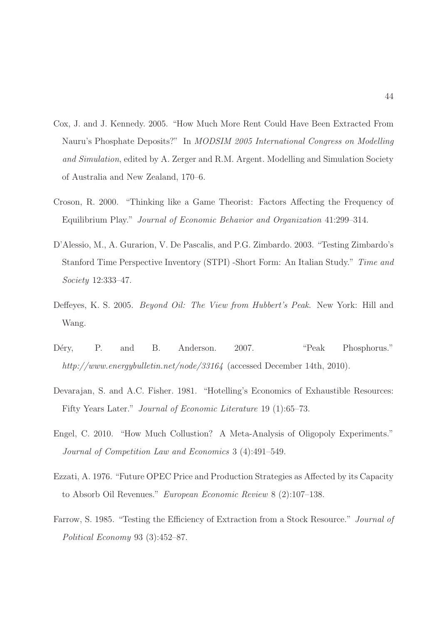- <span id="page-45-6"></span>Cox, J. and J. Kennedy. 2005. "How Much More Rent Could Have Been Extracted From Nauru's Phosphate Deposits?" In MODSIM 2005 International Congress on Modelling and Simulation, edited by A. Zerger and R.M. Argent. Modelling and Simulation Society of Australia and New Zealand, 170–6.
- <span id="page-45-8"></span>Croson, R. 2000. "Thinking like a Game Theorist: Factors Affecting the Frequency of Equilibrium Play." Journal of Economic Behavior and Organization 41:299–314.
- <span id="page-45-7"></span>D'Alessio, M., A. Gurarion, V. De Pascalis, and P.G. Zimbardo. 2003. "Testing Zimbardo's Stanford Time Perspective Inventory (STPI) -Short Form: An Italian Study." Time and Society 12:333–47.
- <span id="page-45-1"></span>Deffeyes, K. S. 2005. *Beyond Oil: The View from Hubbert's Peak.* New York: Hill and Wang.
- <span id="page-45-0"></span>Déry, P. and B. Anderson. 2007. "Peak Phosphorus." http://www.energybulletin.net/node/33164 (accessed December 14th, 2010).
- <span id="page-45-4"></span>Devarajan, S. and A.C. Fisher. 1981. "Hotelling's Economics of Exhaustible Resources: Fifty Years Later." Journal of Economic Literature 19 (1):65–73.
- <span id="page-45-3"></span>Engel, C. 2010. "How Much Collustion? A Meta-Analysis of Oligopoly Experiments." Journal of Competition Law and Economics 3 (4):491–549.
- <span id="page-45-5"></span>Ezzati, A. 1976. "Future OPEC Price and Production Strategies as Affected by its Capacity to Absorb Oil Revenues." European Economic Review 8 (2):107–138.
- <span id="page-45-2"></span>Farrow, S. 1985. "Testing the Efficiency of Extraction from a Stock Resource." *Journal of* Political Economy 93 (3):452–87.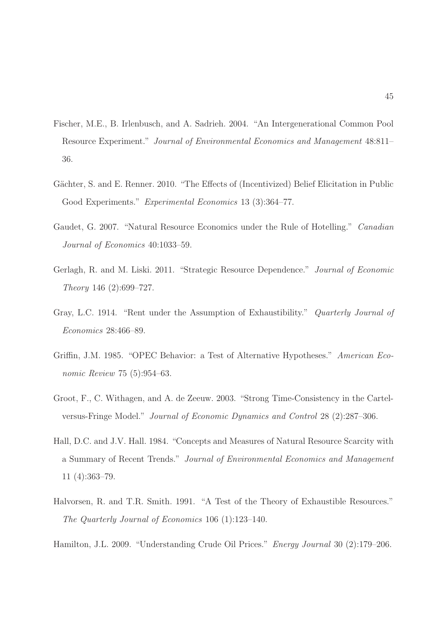- <span id="page-46-5"></span>Fischer, M.E., B. Irlenbusch, and A. Sadrieh. 2004. "An Intergenerational Common Pool Resource Experiment." Journal of Environmental Economics and Management 48:811– 36.
- <span id="page-46-8"></span>Gächter, S. and E. Renner. 2010. "The Effects of (Incentivized) Belief Elicitation in Public Good Experiments." Experimental Economics 13 (3):364-77.
- Gaudet, G. 2007. "Natural Resource Economics under the Rule of Hotelling." Canadian Journal of Economics 40:1033–59.
- <span id="page-46-4"></span>Gerlagh, R. and M. Liski. 2011. "Strategic Resource Dependence." Journal of Economic Theory 146 (2):699–727.
- <span id="page-46-6"></span>Gray, L.C. 1914. "Rent under the Assumption of Exhaustibility." Quarterly Journal of Economics 28:466–89.
- <span id="page-46-2"></span>Griffin, J.M. 1985. "OPEC Behavior: a Test of Alternative Hypotheses." American Economic Review 75 (5):954–63.
- <span id="page-46-1"></span>Groot, F., C. Withagen, and A. de Zeeuw. 2003. "Strong Time-Consistency in the Cartelversus-Fringe Model." Journal of Economic Dynamics and Control 28 (2):287–306.
- <span id="page-46-0"></span>Hall, D.C. and J.V. Hall. 1984. "Concepts and Measures of Natural Resource Scarcity with a Summary of Recent Trends." Journal of Environmental Economics and Management 11 (4):363–79.
- <span id="page-46-7"></span>Halvorsen, R. and T.R. Smith. 1991. "A Test of the Theory of Exhaustible Resources." The Quarterly Journal of Economics 106 (1):123–140.
- <span id="page-46-3"></span>Hamilton, J.L. 2009. "Understanding Crude Oil Prices." Energy Journal 30 (2):179–206.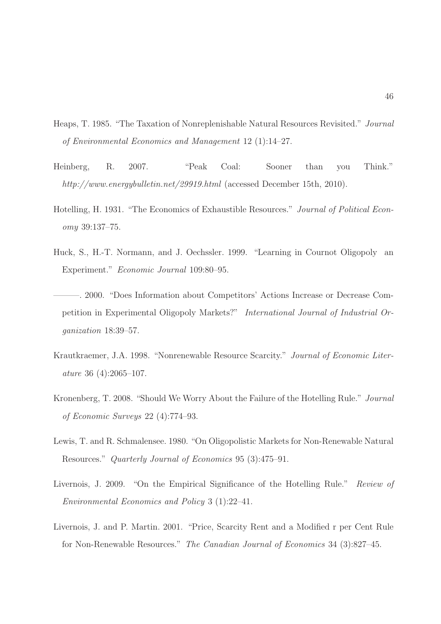- <span id="page-47-2"></span>Heaps, T. 1985. "The Taxation of Nonreplenishable Natural Resources Revisited." Journal of Environmental Economics and Management 12 (1):14–27.
- <span id="page-47-0"></span>Heinberg, R. 2007. "Peak Coal: Sooner than you Think." http://www.energybulletin.net/29919.html (accessed December 15th, 2010).
- <span id="page-47-1"></span>Hotelling, H. 1931. "The Economics of Exhaustible Resources." Journal of Political Economy 39:137–75.
- <span id="page-47-7"></span>Huck, S., H.-T. Normann, and J. Oechssler. 1999. "Learning in Cournot Oligopoly an Experiment." Economic Journal 109:80–95.
- <span id="page-47-8"></span>———. 2000. "Does Information about Competitors' Actions Increase or Decrease Competition in Experimental Oligopoly Markets?" International Journal of Industrial Organization 18:39–57.
- <span id="page-47-3"></span>Krautkraemer, J.A. 1998. "Nonrenewable Resource Scarcity." Journal of Economic Literature 36 (4):2065–107.
- <span id="page-47-4"></span>Kronenberg, T. 2008. "Should We Worry About the Failure of the Hotelling Rule." Journal of Economic Surveys 22 (4):774–93.
- <span id="page-47-6"></span>Lewis, T. and R. Schmalensee. 1980. "On Oligopolistic Markets for Non-Renewable Natural Resources." Quarterly Journal of Economics 95 (3):475–91.
- <span id="page-47-5"></span>Livernois, J. 2009. "On the Empirical Significance of the Hotelling Rule." Review of Environmental Economics and Policy 3 (1):22–41.
- <span id="page-47-9"></span>Livernois, J. and P. Martin. 2001. "Price, Scarcity Rent and a Modified r per Cent Rule for Non-Renewable Resources." The Canadian Journal of Economics 34 (3):827–45.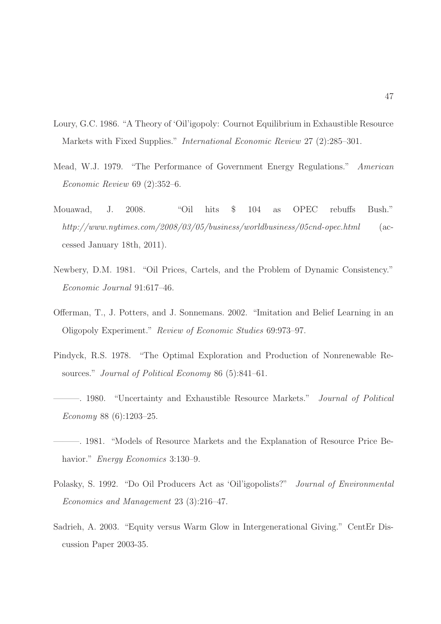- <span id="page-48-3"></span>Loury, G.C. 1986. "A Theory of 'Oil'igopoly: Cournot Equilibrium in Exhaustible Resource Markets with Fixed Supplies." International Economic Review 27 (2):285–301.
- <span id="page-48-7"></span>Mead, W.J. 1979. "The Performance of Government Energy Regulations." American Economic Review 69 (2):352–6.
- <span id="page-48-0"></span>Mouawad, J. 2008. "Oil hits \$ 104 as OPEC rebuffs Bush." http://www.nytimes.com/2008/03/05/business/worldbusiness/05cnd-opec.html (accessed January 18th, 2011).
- <span id="page-48-2"></span>Newbery, D.M. 1981. "Oil Prices, Cartels, and the Problem of Dynamic Consistency." Economic Journal 91:617–46.
- Offerman, T., J. Potters, and J. Sonnemans. 2002. "Imitation and Belief Learning in an Oligopoly Experiment." Review of Economic Studies 69:973–97.
- <span id="page-48-5"></span>Pindyck, R.S. 1978. "The Optimal Exploration and Production of Nonrenewable Resources." Journal of Political Economy 86 (5):841–61.
- <span id="page-48-6"></span>———. 1980. "Uncertainty and Exhaustible Resource Markets." Journal of Political Economy 88 (6):1203–25.
- <span id="page-48-1"></span>———. 1981. "Models of Resource Markets and the Explanation of Resource Price Behavior." *Energy Economics* 3:130–9.
- <span id="page-48-8"></span>Polasky, S. 1992. "Do Oil Producers Act as 'Oil'igopolists?" Journal of Environmental Economics and Management 23 (3):216–47.
- <span id="page-48-4"></span>Sadrieh, A. 2003. "Equity versus Warm Glow in Intergenerational Giving." CentEr Discussion Paper 2003-35.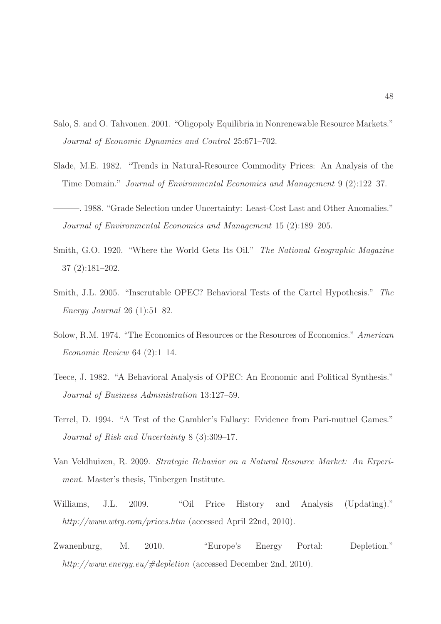- <span id="page-49-4"></span>Salo, S. and O. Tahvonen. 2001. "Oligopoly Equilibria in Nonrenewable Resource Markets." Journal of Economic Dynamics and Control 25:671–702.
- <span id="page-49-5"></span>Slade, M.E. 1982. "Trends in Natural-Resource Commodity Prices: An Analysis of the Time Domain." Journal of Environmental Economics and Management 9 (2):122–37.
- <span id="page-49-6"></span>———. 1988. "Grade Selection under Uncertainty: Least-Cost Last and Other Anomalies." Journal of Environmental Economics and Management 15 (2):189–205.
- <span id="page-49-0"></span>Smith, G.O. 1920. "Where the World Gets Its Oil." The National Geographic Magazine 37 (2):181–202.
- <span id="page-49-2"></span>Smith, J.L. 2005. "Inscrutable OPEC? Behavioral Tests of the Cartel Hypothesis." The Energy Journal 26 (1):51–82.
- <span id="page-49-1"></span>Solow, R.M. 1974. "The Economics of Resources or the Resources of Economics." American Economic Review 64 (2):1–14.
- <span id="page-49-7"></span>Teece, J. 1982. "A Behavioral Analysis of OPEC: An Economic and Political Synthesis." Journal of Business Administration 13:127–59.
- <span id="page-49-8"></span>Terrel, D. 1994. "A Test of the Gambler's Fallacy: Evidence from Pari-mutuel Games." Journal of Risk and Uncertainty 8 (3):309–17.
- Van Veldhuizen, R. 2009. Strategic Behavior on a Natural Resource Market: An Experiment. Master's thesis, Tinbergen Institute.
- Williams, J.L. 2009. "Oil Price History and Analysis (Updating)." http://www.wtrg.com/prices.htm (accessed April 22nd, 2010).
- <span id="page-49-3"></span>Zwanenburg, M. 2010. "Europe's Energy Portal: Depletion." http://www.energy.eu/#depletion (accessed December 2nd, 2010).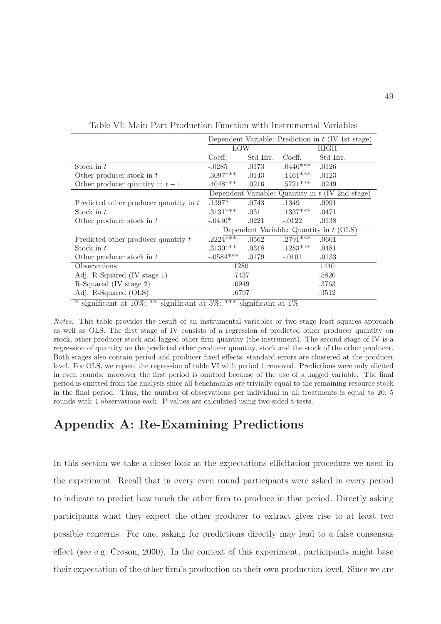|                                        |                                           |                     |            | Dependent Variable: Prediction in $t$ (IV 1st stage) |  |
|----------------------------------------|-------------------------------------------|---------------------|------------|------------------------------------------------------|--|
|                                        | <b>LOW</b>                                |                     |            | HIGH                                                 |  |
|                                        | Coeff.                                    | Std Err.            | Coeff.     | Std Err.                                             |  |
| Stock in $t$                           | $-.0285$                                  | .0173               | $.0446***$ | .0126                                                |  |
| Other producer stock in t              | $.3097***$                                | .0143               | $.1461***$ | .0123                                                |  |
| Other producer quantity in $t-1$       | $.4048***$                                | .0216               | $.5721***$ | .0249                                                |  |
|                                        |                                           | Dependent Variable: |            | Quantity in $t$ (IV 2nd stage)                       |  |
| Predicted other producer quantity in t | $.1397*$                                  | .0743               | .1349      | .0991                                                |  |
| Stock in $t$                           | $.3131***$                                | .031                | $.1337***$ | .0471                                                |  |
| Other producer stock in $t$            | $-.0430*$                                 | .0221               | $-.0122$   | .0138                                                |  |
|                                        | Dependent Variable: Quantity in $t$ (OLS) |                     |            |                                                      |  |
| Predicted other producer quantity $t$  | $.2224***$                                | .0562               | $.2791***$ | .0601                                                |  |
| Stock in t                             | $.3130***$                                | .0318               | $.1283***$ | .0481                                                |  |
| Other producer stock in t              | $-.0584***$                               | .0179               | $-.0101$   | .0133                                                |  |
| Observations                           | 1280                                      |                     | 1440       |                                                      |  |
| Adj. R-Squared (IV stage 1)            | .7437                                     |                     | .5820      |                                                      |  |
| R-Squared (IV stage 2)                 | .6949                                     |                     | .3763      |                                                      |  |
| Adj. R-Squared (OLS)                   | .6797                                     |                     | .3512      |                                                      |  |

<span id="page-50-0"></span>Table VI: Main Part Production Function with Instrumental Variables

significant at  $10\%;$ <sup>\*\*</sup> significant at  $5\%;$ <sup>\*\*\*</sup> significant at  $1\%$ 

Notes. This table provides the result of an instrumental variables or two stage least squares approach as well as OLS. The first stage of IV consists of a regression of predicted other producer quantity on stock, other producer stock and lagged other firm quantity (the instrument). The second stage of IV is a regression of quantity on the predicted other producer quantity, stock and the stock of the other producer. Both stages also contain period and producer fixed effects; standard errors are clustered at the producer level. For OLS, we repeat the regression of table [VI](#page-50-0) with period 1 removed. Predictions were only elicited in even rounds; moreover the first period is omitted because of the use of a lagged variable. The final period is omitted from the analysis since all benchmarks are trivially equal to the remaining resource stock in the final period. Thus, the number of observations per individual in all treatments is equal to 20, 5 rounds with 4 observations each. P-values are calculated using two-sided t-tests.

# Appendix A: Re-Examining Predictions

In this section we take a closer look at the expectations ellicitation procedure we used in the experiment. Recall that in every even round participants were asked in every period to indicate to predict how much the other firm to produce in that period. Directly asking participants what they expect the other producer to extract gives rise to at least two possible concerns. For one, asking for predictions directly may lead to a false consensus effect (see e.g. [Croson,](#page-45-8) [2000\)](#page-45-8). In the context of this experiment, participants might base their expectation of the other firm's production on their own production level. Since we are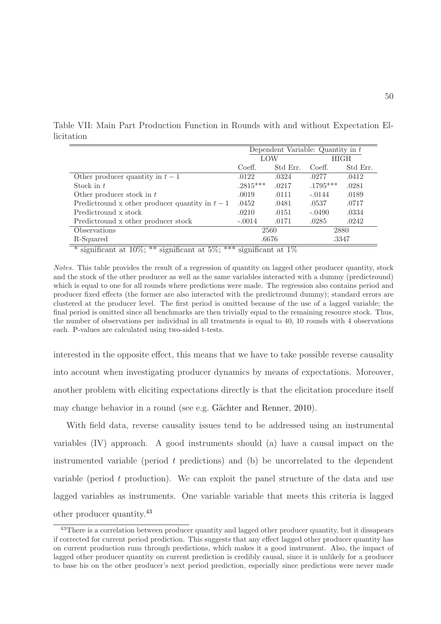Table VII: Main Part Production Function in Rounds with and without Expectation Ellicitation

<span id="page-51-0"></span>

|                                                 | Dependent Variable: Quantity in $t$ |          |            |          |
|-------------------------------------------------|-------------------------------------|----------|------------|----------|
|                                                 | LOW                                 |          | HIGH       |          |
|                                                 | Coeff.                              | Std Err. | Coeff.     | Std Err. |
| Other producer quantity in $t-1$                | .0122                               | .0324    | .0277      | .0412    |
| Stock in $t$                                    | $.2815***$                          | .0217    | $.1795***$ | .0281    |
| Other producer stock in $t$                     | .0019                               | .0111    | $-.0144$   | .0189    |
| Predictround x other producer quantity in $t-1$ | .0452                               | .0481    | .0537      | .0717    |
| Predictround x stock                            | .0210                               | .0151    | $-.0490$   | .0334    |
| Predictround x other producer stock             | $-.0014$                            | .0171    | .0285      | .0242    |
| Observations                                    | 2560                                |          | 2880       |          |
| R-Squared                                       | .6676                               |          | .3347      |          |

\* significant at  $10\%;$  \*\* significant at  $5\%;$  \*\*\* significant at  $1\%$ 

Notes. This table provides the result of a regression of quantity on lagged other producer quantity, stock and the stock of the other producer as well as the same variables interacted with a dummy (predictround) which is equal to one for all rounds where predictions were made. The regression also contains period and producer fixed effects (the former are also interacted with the predictround dummy); standard errors are clustered at the producer level. The first period is omitted because of the use of a lagged variable; the final period is omitted since all benchmarks are then trivially equal to the remaining resource stock. Thus, the number of observations per individual in all treatments is equal to 40, 10 rounds with 4 observations each. P-values are calculated using two-sided t-tests.

interested in the opposite effect, this means that we have to take possible reverse causality into account when investigating producer dynamics by means of expectations. Moreover, another problem with eliciting expectations directly is that the elicitation procedure itself may change behavior in a round (see e.g. Gächter and Renner, [2010](#page-46-8)).

With field data, reverse causality issues tend to be addressed using an instrumental variables (IV) approach. A good instruments should (a) have a causal impact on the instrumented variable (period  $t$  predictions) and (b) be uncorrelated to the dependent variable (period  $t$  production). We can exploit the panel structure of the data and use lagged variables as instruments. One variable variable that meets this criteria is lagged other producer quantity.<sup>43</sup>

<sup>&</sup>lt;sup>43</sup>There is a correlation between producer quantity and lagged other producer quantity, but it dissapears if corrected for current period prediction. This suggests that any effect lagged other producer quantity has on current production runs through predictions, which makes it a good instrument. Also, the impact of lagged other producer quantity on current prediction is credibly causal, since it is unlikely for a producer to base his on the other producer's next period prediction, especially since predictions were never made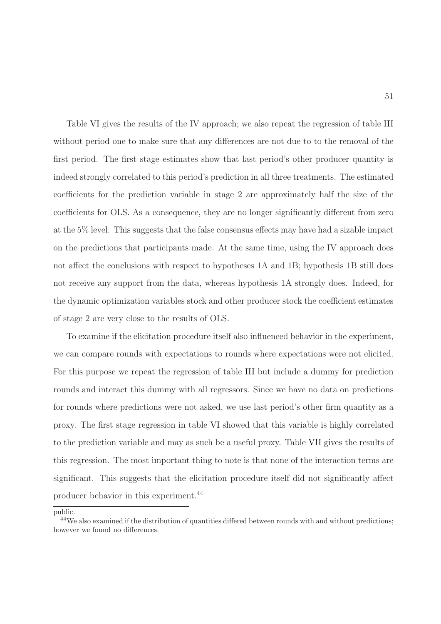Table [VI](#page-50-0) gives the results of the IV approach; we also repeat the regression of table [III](#page-33-0) without period one to make sure that any differences are not due to to the removal of the first period. The first stage estimates show that last period's other producer quantity is indeed strongly correlated to this period's prediction in all three treatments. The estimated coefficients for the prediction variable in stage 2 are approximately half the size of the coefficients for OLS. As a consequence, they are no longer significantly different from zero at the 5% level. This suggests that the false consensus effects may have had a sizable impact on the predictions that participants made. At the same time, using the IV approach does not affect the conclusions with respect to hypotheses 1A and 1B; hypothesis 1B still does not receive any support from the data, whereas hypothesis 1A strongly does. Indeed, for the dynamic optimization variables stock and other producer stock the coefficient estimates of stage 2 are very close to the results of OLS.

To examine if the elicitation procedure itself also influenced behavior in the experiment, we can compare rounds with expectations to rounds where expectations were not elicited. For this purpose we repeat the regression of table [III](#page-33-0) but include a dummy for prediction rounds and interact this dummy with all regressors. Since we have no data on predictions for rounds where predictions were not asked, we use last period's other firm quantity as a proxy. The first stage regression in table [VI](#page-50-0) showed that this variable is highly correlated to the prediction variable and may as such be a useful proxy. Table [VII](#page-51-0) gives the results of this regression. The most important thing to note is that none of the interaction terms are significant. This suggests that the elicitation procedure itself did not significantly affect producer behavior in this experiment.<sup>44</sup>

public.

<sup>&</sup>lt;sup>44</sup>We also examined if the distribution of quantities differed between rounds with and without predictions; however we found no differences.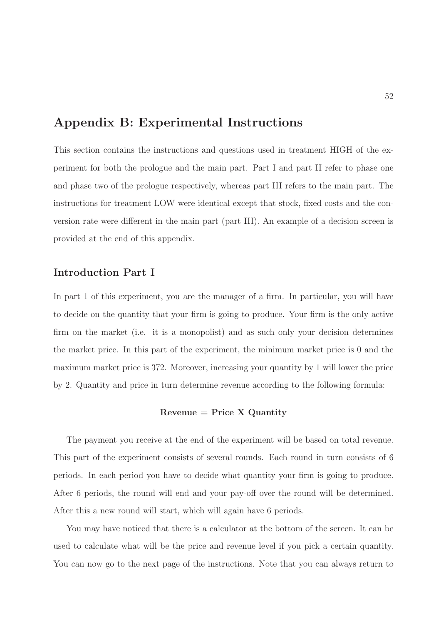# Appendix B: Experimental Instructions

This section contains the instructions and questions used in treatment HIGH of the experiment for both the prologue and the main part. Part I and part II refer to phase one and phase two of the prologue respectively, whereas part III refers to the main part. The instructions for treatment LOW were identical except that stock, fixed costs and the conversion rate were different in the main part (part III). An example of a decision screen is provided at the end of this appendix.

# Introduction Part I

In part 1 of this experiment, you are the manager of a firm. In particular, you will have to decide on the quantity that your firm is going to produce. Your firm is the only active firm on the market (i.e. it is a monopolist) and as such only your decision determines the market price. In this part of the experiment, the minimum market price is 0 and the maximum market price is 372. Moreover, increasing your quantity by 1 will lower the price by 2. Quantity and price in turn determine revenue according to the following formula:

#### $Revenue = Price X$  Quantity

The payment you receive at the end of the experiment will be based on total revenue. This part of the experiment consists of several rounds. Each round in turn consists of 6 periods. In each period you have to decide what quantity your firm is going to produce. After 6 periods, the round will end and your pay-off over the round will be determined. After this a new round will start, which will again have 6 periods.

You may have noticed that there is a calculator at the bottom of the screen. It can be used to calculate what will be the price and revenue level if you pick a certain quantity. You can now go to the next page of the instructions. Note that you can always return to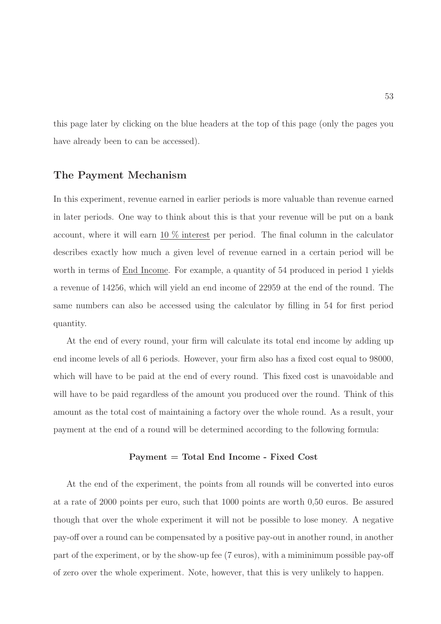this page later by clicking on the blue headers at the top of this page (only the pages you have already been to can be accessed).

### The Payment Mechanism

In this experiment, revenue earned in earlier periods is more valuable than revenue earned in later periods. One way to think about this is that your revenue will be put on a bank account, where it will earn 10 % interest per period. The final column in the calculator describes exactly how much a given level of revenue earned in a certain period will be worth in terms of End Income. For example, a quantity of 54 produced in period 1 yields a revenue of 14256, which will yield an end income of 22959 at the end of the round. The same numbers can also be accessed using the calculator by filling in 54 for first period quantity.

At the end of every round, your firm will calculate its total end income by adding up end income levels of all 6 periods. However, your firm also has a fixed cost equal to 98000, which will have to be paid at the end of every round. This fixed cost is unavoidable and will have to be paid regardless of the amount you produced over the round. Think of this amount as the total cost of maintaining a factory over the whole round. As a result, your payment at the end of a round will be determined according to the following formula:

#### Payment = Total End Income - Fixed Cost

At the end of the experiment, the points from all rounds will be converted into euros at a rate of 2000 points per euro, such that 1000 points are worth 0,50 euros. Be assured though that over the whole experiment it will not be possible to lose money. A negative pay-off over a round can be compensated by a positive pay-out in another round, in another part of the experiment, or by the show-up fee (7 euros), with a miminimum possible pay-off of zero over the whole experiment. Note, however, that this is very unlikely to happen.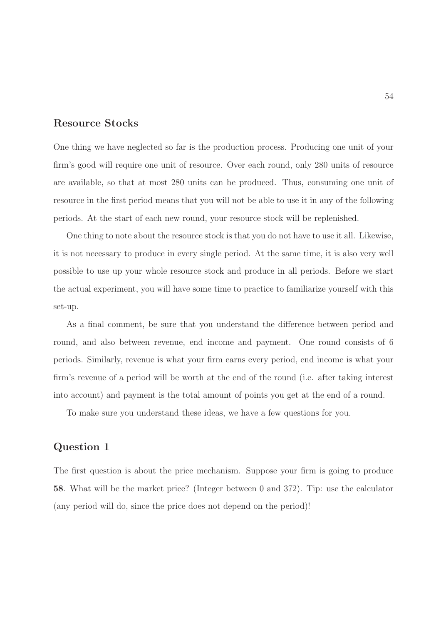### Resource Stocks

One thing we have neglected so far is the production process. Producing one unit of your firm's good will require one unit of resource. Over each round, only 280 units of resource are available, so that at most 280 units can be produced. Thus, consuming one unit of resource in the first period means that you will not be able to use it in any of the following periods. At the start of each new round, your resource stock will be replenished.

One thing to note about the resource stock is that you do not have to use it all. Likewise, it is not necessary to produce in every single period. At the same time, it is also very well possible to use up your whole resource stock and produce in all periods. Before we start the actual experiment, you will have some time to practice to familiarize yourself with this set-up.

As a final comment, be sure that you understand the difference between period and round, and also between revenue, end income and payment. One round consists of 6 periods. Similarly, revenue is what your firm earns every period, end income is what your firm's revenue of a period will be worth at the end of the round (i.e. after taking interest into account) and payment is the total amount of points you get at the end of a round.

To make sure you understand these ideas, we have a few questions for you.

# Question 1

The first question is about the price mechanism. Suppose your firm is going to produce 58. What will be the market price? (Integer between 0 and 372). Tip: use the calculator (any period will do, since the price does not depend on the period)!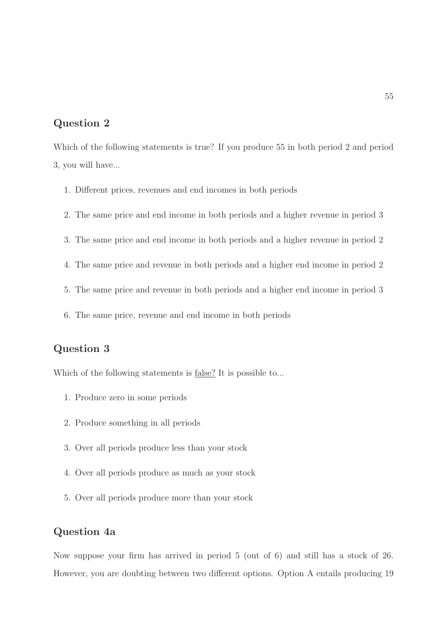# Question 2

Which of the following statements is true? If you produce 55 in both period 2 and period 3, you will have...

- 1. Different prices, revenues and end incomes in both periods
- 2. The same price and end income in both periods and a higher revenue in period 3
- 3. The same price and end income in both periods and a higher revenue in period 2
- 4. The same price and revenue in both periods and a higher end income in period 2
- 5. The same price and revenue in both periods and a higher end income in period 3
- 6. The same price, revenue and end income in both periods

# Question 3

Which of the following statements is false? It is possible to...

- 1. Produce zero in some periods
- 2. Produce something in all periods
- 3. Over all periods produce less than your stock
- 4. Over all periods produce as much as your stock
- 5. Over all periods produce more than your stock

# Question 4a

Now suppose your firm has arrived in period 5 (out of 6) and still has a stock of 26. However, you are doubting between two different options. Option A entails producing 19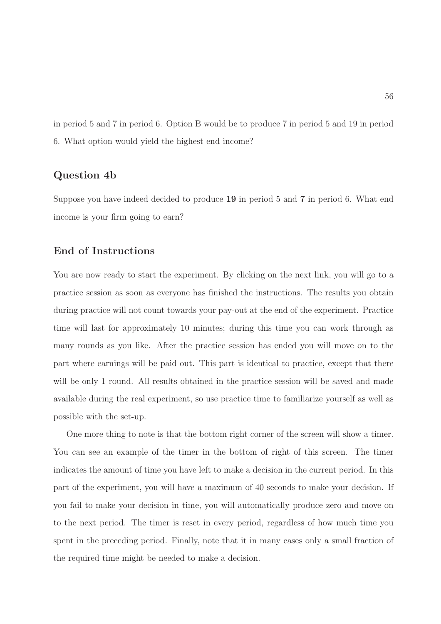in period 5 and 7 in period 6. Option B would be to produce 7 in period 5 and 19 in period 6. What option would yield the highest end income?

# Question 4b

Suppose you have indeed decided to produce 19 in period 5 and 7 in period 6. What end income is your firm going to earn?

# End of Instructions

You are now ready to start the experiment. By clicking on the next link, you will go to a practice session as soon as everyone has finished the instructions. The results you obtain during practice will not count towards your pay-out at the end of the experiment. Practice time will last for approximately 10 minutes; during this time you can work through as many rounds as you like. After the practice session has ended you will move on to the part where earnings will be paid out. This part is identical to practice, except that there will be only 1 round. All results obtained in the practice session will be saved and made available during the real experiment, so use practice time to familiarize yourself as well as possible with the set-up.

One more thing to note is that the bottom right corner of the screen will show a timer. You can see an example of the timer in the bottom of right of this screen. The timer indicates the amount of time you have left to make a decision in the current period. In this part of the experiment, you will have a maximum of 40 seconds to make your decision. If you fail to make your decision in time, you will automatically produce zero and move on to the next period. The timer is reset in every period, regardless of how much time you spent in the preceding period. Finally, note that it in many cases only a small fraction of the required time might be needed to make a decision.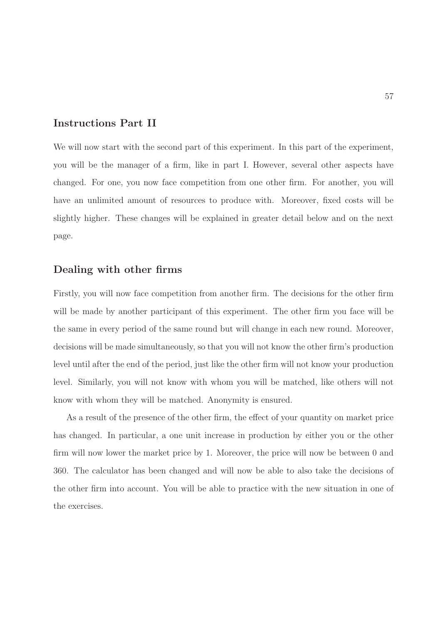### Instructions Part II

We will now start with the second part of this experiment. In this part of the experiment, you will be the manager of a firm, like in part I. However, several other aspects have changed. For one, you now face competition from one other firm. For another, you will have an unlimited amount of resources to produce with. Moreover, fixed costs will be slightly higher. These changes will be explained in greater detail below and on the next page.

#### Dealing with other firms

Firstly, you will now face competition from another firm. The decisions for the other firm will be made by another participant of this experiment. The other firm you face will be the same in every period of the same round but will change in each new round. Moreover, decisions will be made simultaneously, so that you will not know the other firm's production level until after the end of the period, just like the other firm will not know your production level. Similarly, you will not know with whom you will be matched, like others will not know with whom they will be matched. Anonymity is ensured.

As a result of the presence of the other firm, the effect of your quantity on market price has changed. In particular, a one unit increase in production by either you or the other firm will now lower the market price by 1. Moreover, the price will now be between 0 and 360. The calculator has been changed and will now be able to also take the decisions of the other firm into account. You will be able to practice with the new situation in one of the exercises.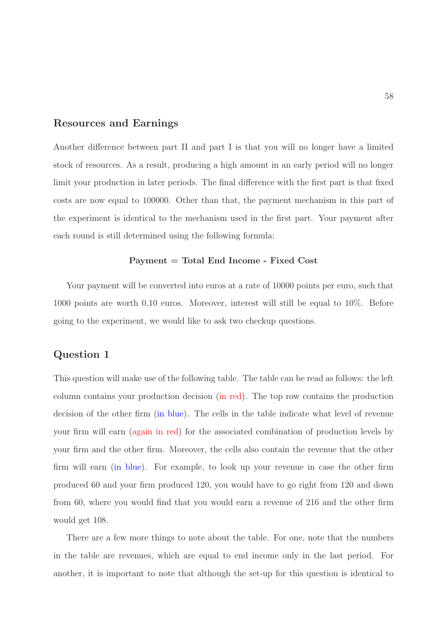### Resources and Earnings

Another difference between part II and part I is that you will no longer have a limited stock of resources. As a result, producing a high amount in an early period will no longer limit your production in later periods. The final difference with the first part is that fixed costs are now equal to 100000. Other than that, the payment mechanism in this part of the experiment is identical to the mechanism used in the first part. Your payment after each round is still determined using the following formula:

#### Payment = Total End Income - Fixed Cost

Your payment will be converted into euros at a rate of 10000 points per euro, such that 1000 points are worth 0,10 euros. Moreover, interest will still be equal to 10%. Before going to the experiment, we would like to ask two checkup questions.

# Question 1

This question will make use of the following table. The table can be read as follows: the left column contains your production decision (in red). The top row contains the production decision of the other firm (in blue). The cells in the table indicate what level of revenue your firm will earn (again in red) for the associated combination of production levels by your firm and the other firm. Moreover, the cells also contain the revenue that the other firm will earn (in blue). For example, to look up your revenue in case the other firm produced 60 and your firm produced 120, you would have to go right from 120 and down from 60, where you would find that you would earn a revenue of 216 and the other firm would get 108.

There are a few more things to note about the table. For one, note that the numbers in the table are revenues, which are equal to end income only in the last period. For another, it is important to note that although the set-up for this question is identical to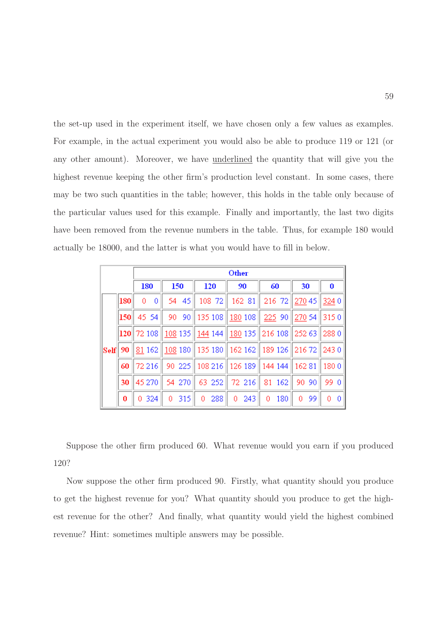the set-up used in the experiment itself, we have chosen only a few values as examples. For example, in the actual experiment you would also be able to produce 119 or 121 (or any other amount). Moreover, we have underlined the quantity that will give you the highest revenue keeping the other firm's production level constant. In some cases, there may be two such quantities in the table; however, this holds in the table only because of the particular values used for this example. Finally and importantly, the last two digits have been removed from the revenue numbers in the table. Thus, for example 180 would actually be 18000, and the latter is what you would have to fill in below.

|      |     |                | Other                              |                     |          |           |           |               |  |
|------|-----|----------------|------------------------------------|---------------------|----------|-----------|-----------|---------------|--|
|      |     | 180            | 150                                | 120                 | 90       | 60        | 30        | 0             |  |
|      | 180 | 0<br>0         | 45<br>54                           | 108 72              | 162 81   | 216 72    | 270 45    | 3240          |  |
|      | 150 | 45 54          | 90<br>90                           | $\parallel$ 135 108 | 180 108  | 225 90    | 270 54    | 3150          |  |
|      |     | $ 120 $ 72 108 | <u>  108</u> 135 <u>   144</u> 144 |                     | 180 135  | 216 108   | 252 63    | 2880          |  |
| Self | 90  | 81 162         |                                    | 108 180 135 180     | 162 162  | 189 126   | 21672     | 2430          |  |
|      | 60  | 72 216         | 90 225                             | 108 216             | 126 189  | 144 144   | 16281     | 1800          |  |
|      | 30  | 45 270         | 54 270                             | 63 252              | 72 216   | 81<br>162 | 90<br>90. | 99 0          |  |
|      | 0   | 324<br>0.      | 315<br>0                           | 288<br>0            | 243<br>0 | 180<br>0  | 99<br>0   | $\theta$<br>0 |  |

Suppose the other firm produced 60. What revenue would you earn if you produced 120?

Now suppose the other firm produced 90. Firstly, what quantity should you produce to get the highest revenue for you? What quantity should you produce to get the highest revenue for the other? And finally, what quantity would yield the highest combined revenue? Hint: sometimes multiple answers may be possible.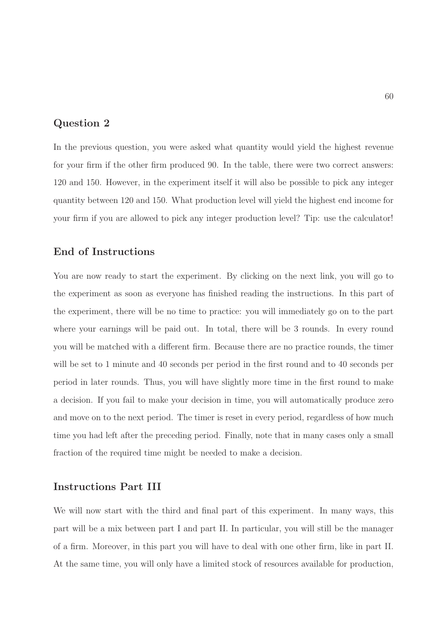# Question 2

In the previous question, you were asked what quantity would yield the highest revenue for your firm if the other firm produced 90. In the table, there were two correct answers: 120 and 150. However, in the experiment itself it will also be possible to pick any integer quantity between 120 and 150. What production level will yield the highest end income for your firm if you are allowed to pick any integer production level? Tip: use the calculator!

# End of Instructions

You are now ready to start the experiment. By clicking on the next link, you will go to the experiment as soon as everyone has finished reading the instructions. In this part of the experiment, there will be no time to practice: you will immediately go on to the part where your earnings will be paid out. In total, there will be 3 rounds. In every round you will be matched with a different firm. Because there are no practice rounds, the timer will be set to 1 minute and 40 seconds per period in the first round and to 40 seconds per period in later rounds. Thus, you will have slightly more time in the first round to make a decision. If you fail to make your decision in time, you will automatically produce zero and move on to the next period. The timer is reset in every period, regardless of how much time you had left after the preceding period. Finally, note that in many cases only a small fraction of the required time might be needed to make a decision.

# Instructions Part III

We will now start with the third and final part of this experiment. In many ways, this part will be a mix between part I and part II. In particular, you will still be the manager of a firm. Moreover, in this part you will have to deal with one other firm, like in part II. At the same time, you will only have a limited stock of resources available for production,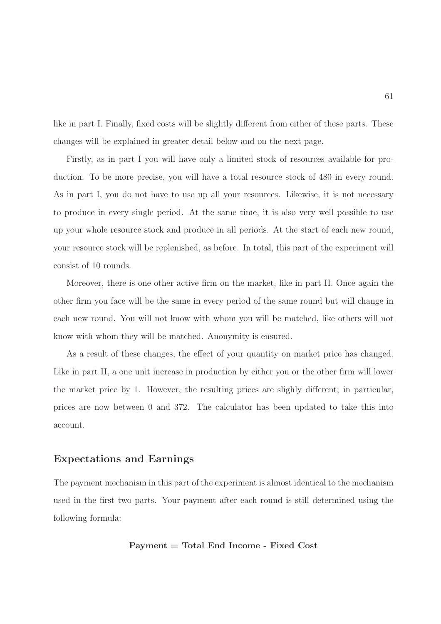like in part I. Finally, fixed costs will be slightly different from either of these parts. These changes will be explained in greater detail below and on the next page.

Firstly, as in part I you will have only a limited stock of resources available for production. To be more precise, you will have a total resource stock of 480 in every round. As in part I, you do not have to use up all your resources. Likewise, it is not necessary to produce in every single period. At the same time, it is also very well possible to use up your whole resource stock and produce in all periods. At the start of each new round, your resource stock will be replenished, as before. In total, this part of the experiment will consist of 10 rounds.

Moreover, there is one other active firm on the market, like in part II. Once again the other firm you face will be the same in every period of the same round but will change in each new round. You will not know with whom you will be matched, like others will not know with whom they will be matched. Anonymity is ensured.

As a result of these changes, the effect of your quantity on market price has changed. Like in part II, a one unit increase in production by either you or the other firm will lower the market price by 1. However, the resulting prices are slighly different; in particular, prices are now between 0 and 372. The calculator has been updated to take this into account.

### Expectations and Earnings

The payment mechanism in this part of the experiment is almost identical to the mechanism used in the first two parts. Your payment after each round is still determined using the following formula:

#### Payment = Total End Income - Fixed Cost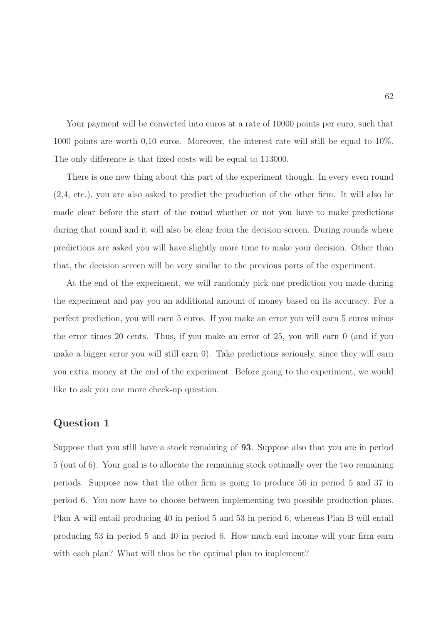Your payment will be converted into euros at a rate of 10000 points per euro, such that 1000 points are worth 0,10 euros. Moreover, the interest rate will still be equal to 10%. The only difference is that fixed costs will be equal to 113000.

There is one new thing about this part of the experiment though. In every even round (2,4, etc.), you are also asked to predict the production of the other firm. It will also be made clear before the start of the round whether or not you have to make predictions during that round and it will also be clear from the decision screen. During rounds where predictions are asked you will have slightly more time to make your decision. Other than that, the decision screen will be very similar to the previous parts of the experiment.

At the end of the experiment, we will randomly pick one prediction you made during the experiment and pay you an additional amount of money based on its accuracy. For a perfect prediction, you will earn 5 euros. If you make an error you will earn 5 euros minus the error times 20 cents. Thus, if you make an error of 25, you will earn 0 (and if you make a bigger error you will still earn 0). Take predictions seriously, since they will earn you extra money at the end of the experiment. Before going to the experiment, we would like to ask you one more check-up question.

### Question 1

Suppose that you still have a stock remaining of 93. Suppose also that you are in period 5 (out of 6). Your goal is to allocate the remaining stock optimally over the two remaining periods. Suppose now that the other firm is going to produce 56 in period 5 and 37 in period 6. You now have to choose between implementing two possible production plans. Plan A will entail producing 40 in period 5 and 53 in period 6, whereas Plan B will entail producing 53 in period 5 and 40 in period 6. How much end income will your firm earn with each plan? What will thus be the optimal plan to implement?